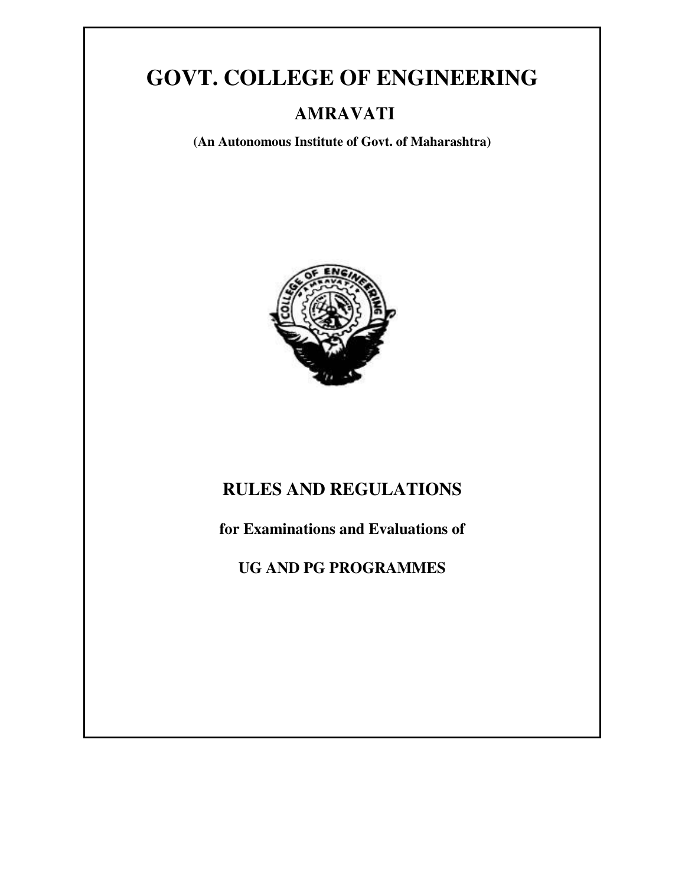# **GOVT. COLLEGE OF ENGINEERING**

## **AMRAVATI**

**(An Autonomous Institute of Govt. of Maharashtra)** 



## **RULES AND REGULATIONS**

**for Examinations and Evaluations of** 

**UG AND PG PROGRAMMES**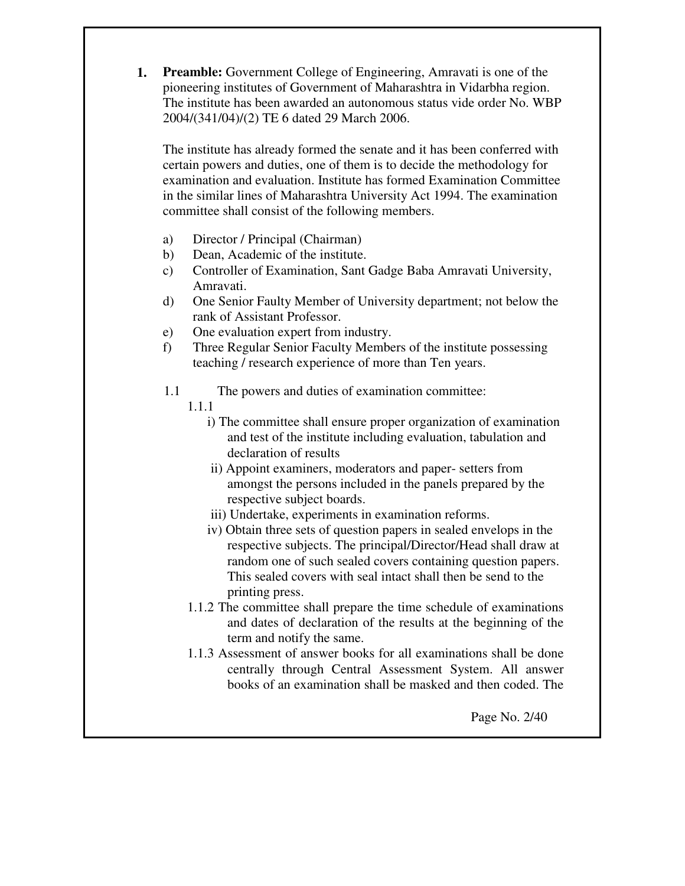**1. Preamble:** Government College of Engineering, Amravati is one of the pioneering institutes of Government of Maharashtra in Vidarbha region. The institute has been awarded an autonomous status vide order No. WBP 2004/(341/04)/(2) TE 6 dated 29 March 2006.

The institute has already formed the senate and it has been conferred with certain powers and duties, one of them is to decide the methodology for examination and evaluation. Institute has formed Examination Committee in the similar lines of Maharashtra University Act 1994. The examination committee shall consist of the following members.

- a) Director / Principal (Chairman)
- b) Dean, Academic of the institute.
- c) Controller of Examination, Sant Gadge Baba Amravati University, Amravati.
- d) One Senior Faulty Member of University department; not below the rank of Assistant Professor.
- e) One evaluation expert from industry.
- f) Three Regular Senior Faculty Members of the institute possessing teaching / research experience of more than Ten years.
- 1.1 The powers and duties of examination committee:
	- 1.1.1
		- i) The committee shall ensure proper organization of examination and test of the institute including evaluation, tabulation and declaration of results
		- ii) Appoint examiners, moderators and paper- setters from amongst the persons included in the panels prepared by the respective subject boards.
		- iii) Undertake, experiments in examination reforms.
		- iv) Obtain three sets of question papers in sealed envelops in the respective subjects. The principal/Director/Head shall draw at random one of such sealed covers containing question papers. This sealed covers with seal intact shall then be send to the printing press.
	- 1.1.2 The committee shall prepare the time schedule of examinations and dates of declaration of the results at the beginning of the term and notify the same.
	- 1.1.3 Assessment of answer books for all examinations shall be done centrally through Central Assessment System. All answer books of an examination shall be masked and then coded. The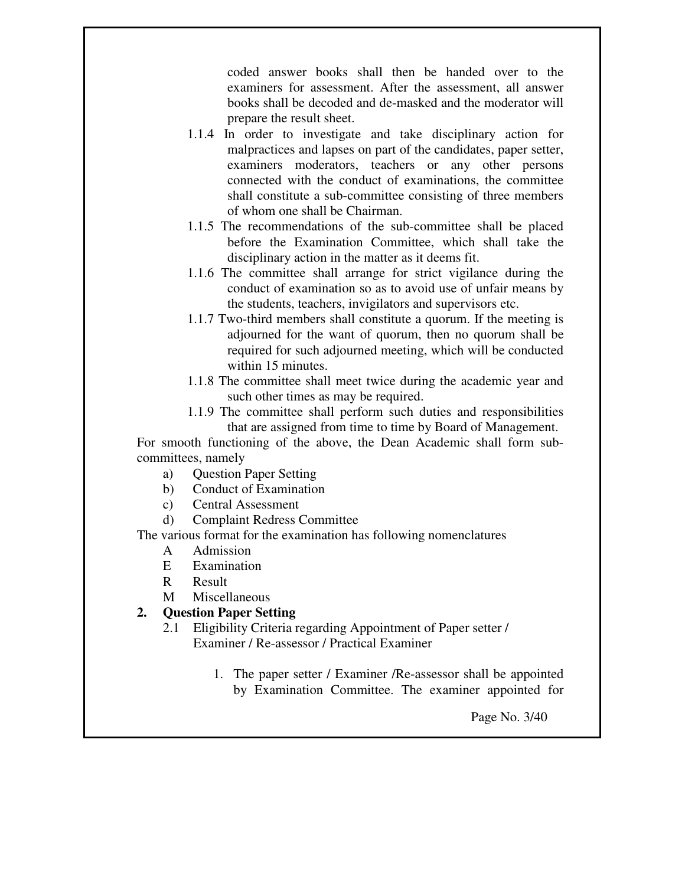coded answer books shall then be handed over to the examiners for assessment. After the assessment, all answer books shall be decoded and de-masked and the moderator will prepare the result sheet.

- 1.1.4 In order to investigate and take disciplinary action for malpractices and lapses on part of the candidates, paper setter, examiners moderators, teachers or any other persons connected with the conduct of examinations, the committee shall constitute a sub-committee consisting of three members of whom one shall be Chairman.
- 1.1.5 The recommendations of the sub-committee shall be placed before the Examination Committee, which shall take the disciplinary action in the matter as it deems fit.
- 1.1.6 The committee shall arrange for strict vigilance during the conduct of examination so as to avoid use of unfair means by the students, teachers, invigilators and supervisors etc.
- 1.1.7 Two-third members shall constitute a quorum. If the meeting is adjourned for the want of quorum, then no quorum shall be required for such adjourned meeting, which will be conducted within 15 minutes.
- 1.1.8 The committee shall meet twice during the academic year and such other times as may be required.
- 1.1.9 The committee shall perform such duties and responsibilities that are assigned from time to time by Board of Management.

For smooth functioning of the above, the Dean Academic shall form subcommittees, namely

- a) Question Paper Setting
- b) Conduct of Examination
- c) Central Assessment
- d) Complaint Redress Committee

The various format for the examination has following nomenclatures

- A Admission
- E Examination
- R Result
- M Miscellaneous

### **2. Question Paper Setting**

- 2.1 Eligibility Criteria regarding Appointment of Paper setter / Examiner / Re-assessor / Practical Examiner
	- 1. The paper setter / Examiner /Re-assessor shall be appointed by Examination Committee. The examiner appointed for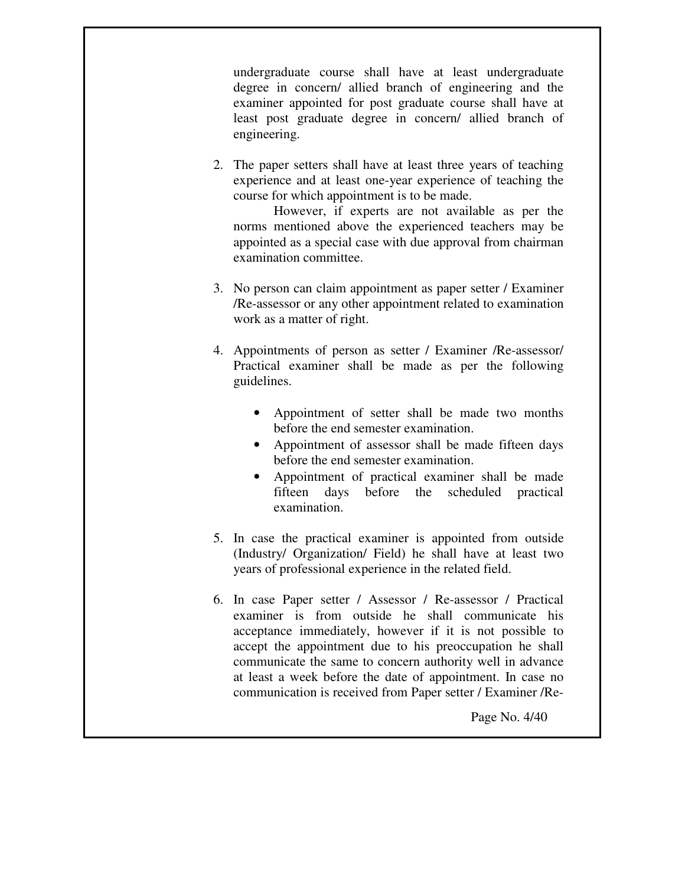undergraduate course shall have at least undergraduate degree in concern/ allied branch of engineering and the examiner appointed for post graduate course shall have at least post graduate degree in concern/ allied branch of engineering.

2. The paper setters shall have at least three years of teaching experience and at least one-year experience of teaching the course for which appointment is to be made.

 However, if experts are not available as per the norms mentioned above the experienced teachers may be appointed as a special case with due approval from chairman examination committee.

- 3. No person can claim appointment as paper setter / Examiner /Re-assessor or any other appointment related to examination work as a matter of right.
- 4. Appointments of person as setter / Examiner /Re-assessor/ Practical examiner shall be made as per the following guidelines.
	- Appointment of setter shall be made two months before the end semester examination.
	- Appointment of assessor shall be made fifteen days before the end semester examination.
	- Appointment of practical examiner shall be made fifteen days before the scheduled practical examination.
- 5. In case the practical examiner is appointed from outside (Industry/ Organization/ Field) he shall have at least two years of professional experience in the related field.
- 6. In case Paper setter / Assessor / Re-assessor / Practical examiner is from outside he shall communicate his acceptance immediately, however if it is not possible to accept the appointment due to his preoccupation he shall communicate the same to concern authority well in advance at least a week before the date of appointment. In case no communication is received from Paper setter / Examiner /Re-

Page No. 4/40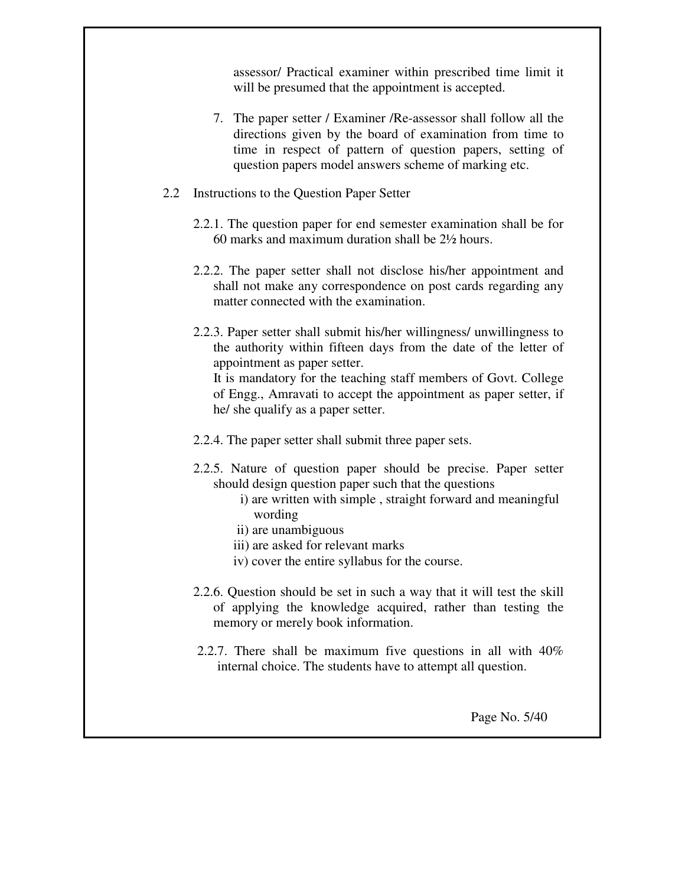assessor/ Practical examiner within prescribed time limit it will be presumed that the appointment is accepted.

- 7. The paper setter / Examiner /Re-assessor shall follow all the directions given by the board of examination from time to time in respect of pattern of question papers, setting of question papers model answers scheme of marking etc.
- 2.2 Instructions to the Question Paper Setter
	- 2.2.1. The question paper for end semester examination shall be for 60 marks and maximum duration shall be 2½ hours.
	- 2.2.2. The paper setter shall not disclose his/her appointment and shall not make any correspondence on post cards regarding any matter connected with the examination.
	- 2.2.3. Paper setter shall submit his/her willingness/ unwillingness to the authority within fifteen days from the date of the letter of appointment as paper setter.

 It is mandatory for the teaching staff members of Govt. College of Engg., Amravati to accept the appointment as paper setter, if he/ she qualify as a paper setter.

2.2.4. The paper setter shall submit three paper sets.

- 2.2.5. Nature of question paper should be precise. Paper setter should design question paper such that the questions
	- i) are written with simple , straight forward and meaningful wording
	- ii) are unambiguous
	- iii) are asked for relevant marks
	- iv) cover the entire syllabus for the course.
- 2.2.6. Question should be set in such a way that it will test the skill of applying the knowledge acquired, rather than testing the memory or merely book information.
- 2.2.7. There shall be maximum five questions in all with 40% internal choice. The students have to attempt all question.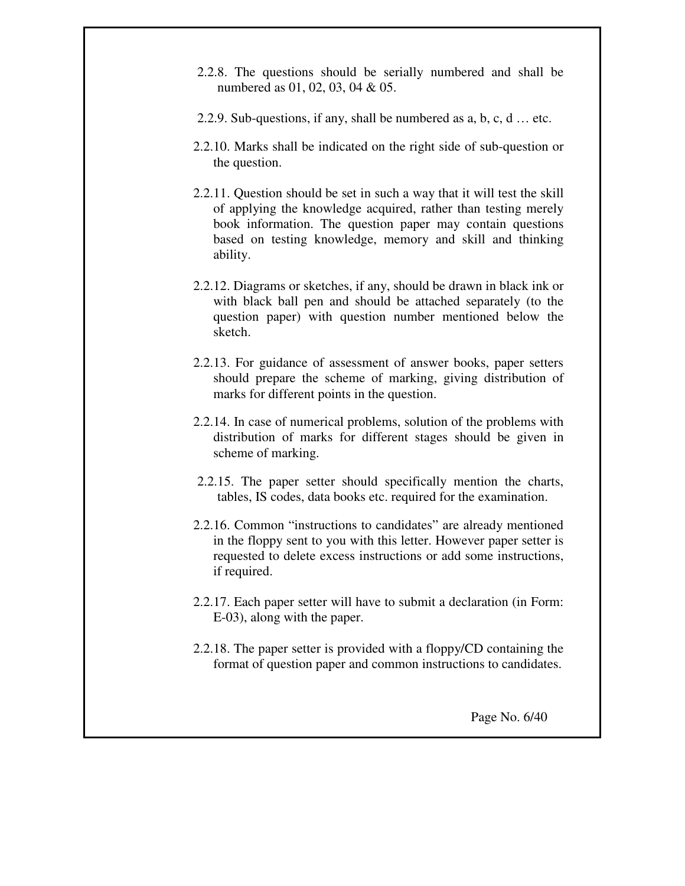- 2.2.8. The questions should be serially numbered and shall be numbered as 01, 02, 03, 04 & 05.
- 2.2.9. Sub-questions, if any, shall be numbered as a, b, c, d … etc.
- 2.2.10. Marks shall be indicated on the right side of sub-question or the question.
- 2.2.11. Question should be set in such a way that it will test the skill of applying the knowledge acquired, rather than testing merely book information. The question paper may contain questions based on testing knowledge, memory and skill and thinking ability.
- 2.2.12. Diagrams or sketches, if any, should be drawn in black ink or with black ball pen and should be attached separately (to the question paper) with question number mentioned below the sketch.
- 2.2.13. For guidance of assessment of answer books, paper setters should prepare the scheme of marking, giving distribution of marks for different points in the question.
- 2.2.14. In case of numerical problems, solution of the problems with distribution of marks for different stages should be given in scheme of marking.
- 2.2.15. The paper setter should specifically mention the charts, tables, IS codes, data books etc. required for the examination.
- 2.2.16. Common "instructions to candidates" are already mentioned in the floppy sent to you with this letter. However paper setter is requested to delete excess instructions or add some instructions, if required.
- 2.2.17. Each paper setter will have to submit a declaration (in Form: E-03), along with the paper.
- 2.2.18. The paper setter is provided with a floppy/CD containing the format of question paper and common instructions to candidates.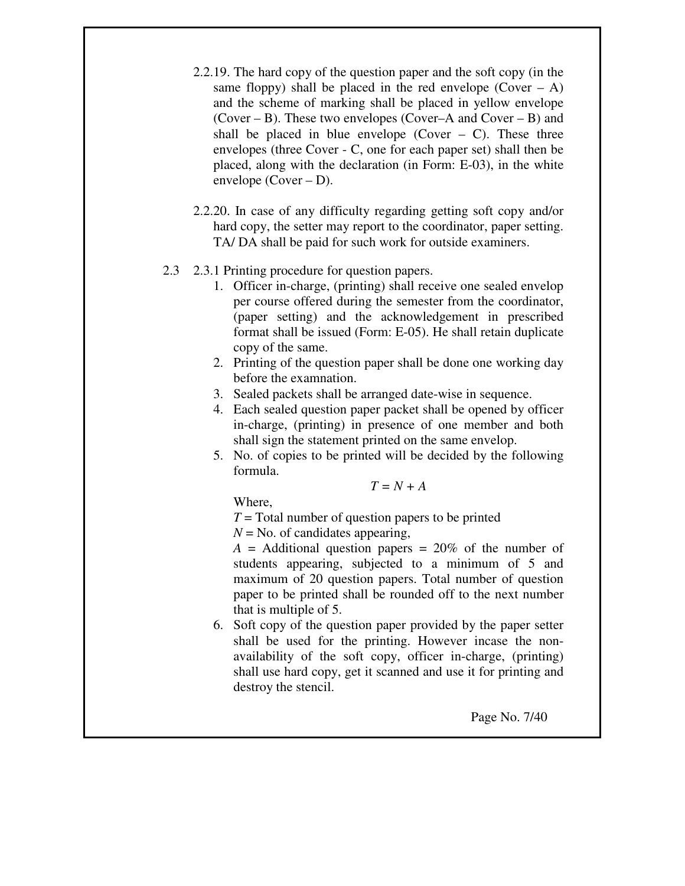- 2.2.19. The hard copy of the question paper and the soft copy (in the same floppy) shall be placed in the red envelope  $(Cover - A)$ and the scheme of marking shall be placed in yellow envelope (Cover – B). These two envelopes (Cover–A and Cover – B) and shall be placed in blue envelope (Cover  $-$  C). These three envelopes (three Cover - C, one for each paper set) shall then be placed, along with the declaration (in Form: E-03), in the white envelope (Cover – D).
- 2.2.20. In case of any difficulty regarding getting soft copy and/or hard copy, the setter may report to the coordinator, paper setting. TA/ DA shall be paid for such work for outside examiners.

### 2.3 2.3.1 Printing procedure for question papers.

- 1. Officer in-charge, (printing) shall receive one sealed envelop per course offered during the semester from the coordinator, (paper setting) and the acknowledgement in prescribed format shall be issued (Form: E-05). He shall retain duplicate copy of the same.
- 2. Printing of the question paper shall be done one working day before the examnation.
- 3. Sealed packets shall be arranged date-wise in sequence.
- 4. Each sealed question paper packet shall be opened by officer in-charge, (printing) in presence of one member and both shall sign the statement printed on the same envelop.
- 5. No. of copies to be printed will be decided by the following formula.

*T = N + A* 

Where,

*T* = Total number of question papers to be printed

 $N =$ No. of candidates appearing,

 $A =$  Additional question papers  $= 20\%$  of the number of students appearing, subjected to a minimum of 5 and maximum of 20 question papers. Total number of question paper to be printed shall be rounded off to the next number that is multiple of 5.

6. Soft copy of the question paper provided by the paper setter shall be used for the printing. However incase the nonavailability of the soft copy, officer in-charge, (printing) shall use hard copy, get it scanned and use it for printing and destroy the stencil.

Page No. 7/40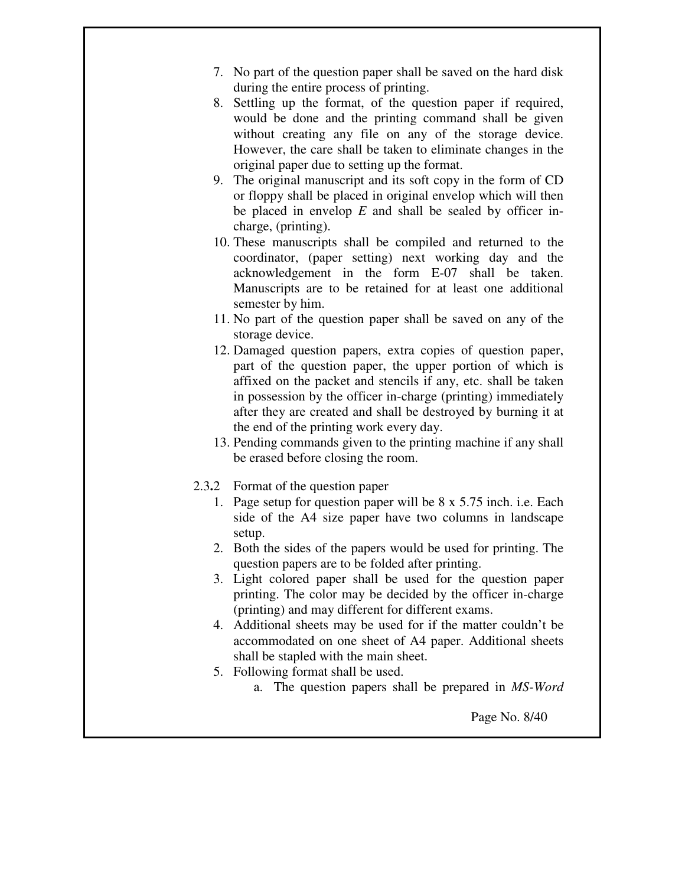- 7. No part of the question paper shall be saved on the hard disk during the entire process of printing.
- 8. Settling up the format, of the question paper if required, would be done and the printing command shall be given without creating any file on any of the storage device. However, the care shall be taken to eliminate changes in the original paper due to setting up the format.
- 9. The original manuscript and its soft copy in the form of CD or floppy shall be placed in original envelop which will then be placed in envelop *E* and shall be sealed by officer incharge, (printing).
- 10. These manuscripts shall be compiled and returned to the coordinator, (paper setting) next working day and the acknowledgement in the form E-07 shall be taken. Manuscripts are to be retained for at least one additional semester by him.
- 11. No part of the question paper shall be saved on any of the storage device.
- 12. Damaged question papers, extra copies of question paper, part of the question paper, the upper portion of which is affixed on the packet and stencils if any, etc. shall be taken in possession by the officer in-charge (printing) immediately after they are created and shall be destroyed by burning it at the end of the printing work every day.
- 13. Pending commands given to the printing machine if any shall be erased before closing the room.
- 2.3**.**2 Format of the question paper
	- 1. Page setup for question paper will be 8 x 5.75 inch. i.e. Each side of the A4 size paper have two columns in landscape setup.
	- 2. Both the sides of the papers would be used for printing. The question papers are to be folded after printing.
	- 3. Light colored paper shall be used for the question paper printing. The color may be decided by the officer in-charge (printing) and may different for different exams.
	- 4. Additional sheets may be used for if the matter couldn't be accommodated on one sheet of A4 paper. Additional sheets shall be stapled with the main sheet.
	- 5. Following format shall be used.
		- a. The question papers shall be prepared in *MS-Word*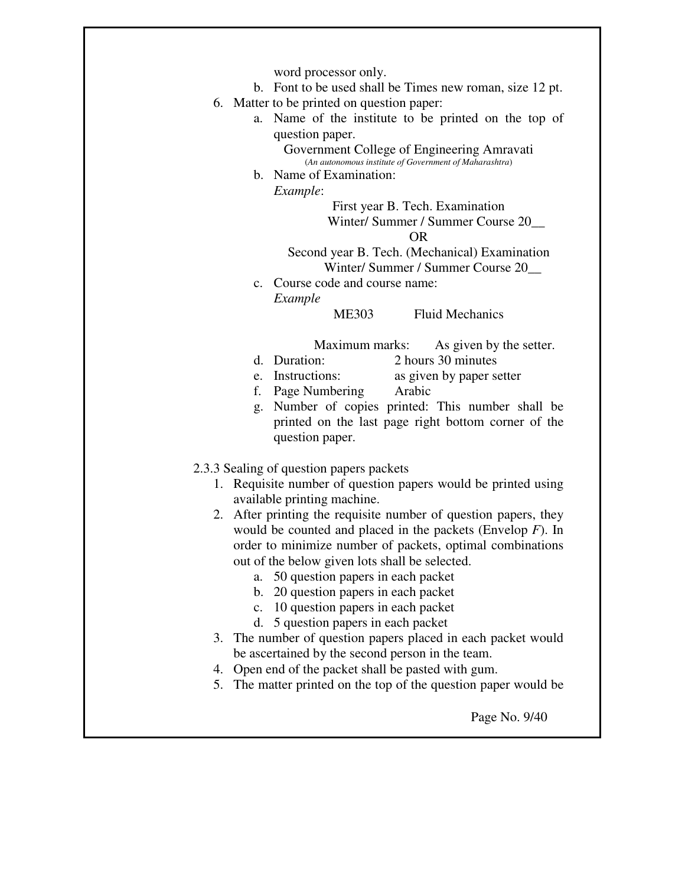word processor only.

- b. Font to be used shall be Times new roman, size 12 pt.
- 6. Matter to be printed on question paper:
	- a. Name of the institute to be printed on the top of question paper.

Government College of Engineering Amravati (*An autonomous institute of Government of Maharashtra*)

b. Name of Examination:

*Example*:

First year B. Tech. Examination Winter/ Summer / Summer Course 20\_\_ OR

Second year B. Tech. (Mechanical) Examination Winter/ Summer / Summer Course 20\_\_

c. Course code and course name: *Example* 

ME303 Fluid Mechanics

Maximum marks: As given by the setter.

- d. Duration: 2 hours 30 minutes
- e. Instructions: as given by paper setter
	- f. Page Numbering Arabic
	- g. Number of copies printed: This number shall be printed on the last page right bottom corner of the question paper.
- 2.3.3 Sealing of question papers packets
	- 1. Requisite number of question papers would be printed using available printing machine.
	- 2. After printing the requisite number of question papers, they would be counted and placed in the packets (Envelop *F*). In order to minimize number of packets, optimal combinations out of the below given lots shall be selected.
		- a. 50 question papers in each packet
		- b. 20 question papers in each packet
		- c. 10 question papers in each packet
		- d. 5 question papers in each packet
	- 3. The number of question papers placed in each packet would be ascertained by the second person in the team.
	- 4. Open end of the packet shall be pasted with gum.
	- 5. The matter printed on the top of the question paper would be

Page No. 9/40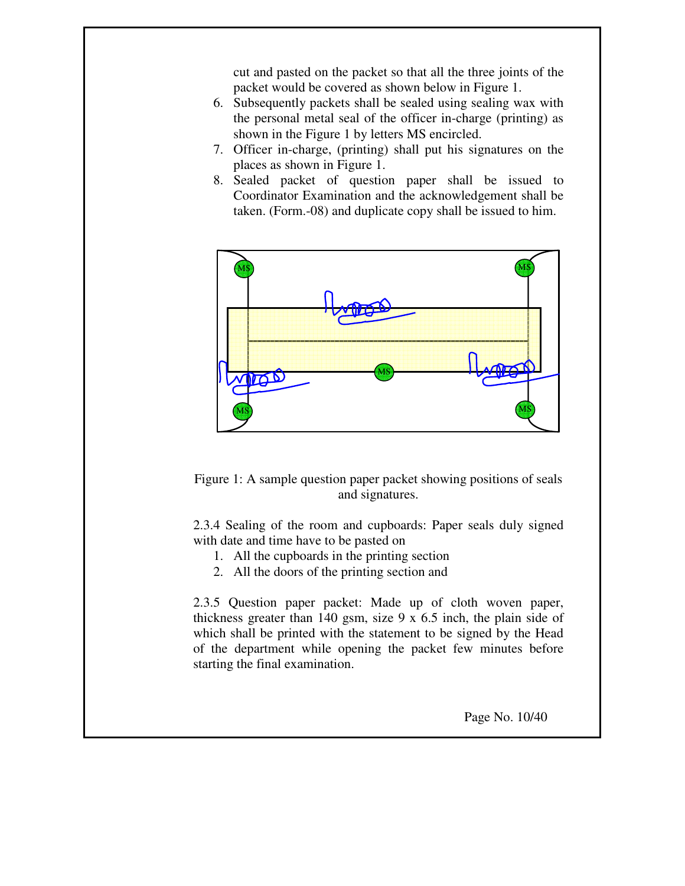cut and pasted on the packet so that all the three joints of the packet would be covered as shown below in Figure 1.

- 6. Subsequently packets shall be sealed using sealing wax with the personal metal seal of the officer in-charge (printing) as shown in the Figure 1 by letters MS encircled.
- 7. Officer in-charge, (printing) shall put his signatures on the places as shown in Figure 1.
- 8. Sealed packet of question paper shall be issued to Coordinator Examination and the acknowledgement shall be taken. (Form.-08) and duplicate copy shall be issued to him.



Figure 1: A sample question paper packet showing positions of seals and signatures.

2.3.4 Sealing of the room and cupboards: Paper seals duly signed with date and time have to be pasted on

- 1. All the cupboards in the printing section
- 2. All the doors of the printing section and

2.3.5 Question paper packet: Made up of cloth woven paper, thickness greater than 140 gsm, size 9 x 6.5 inch, the plain side of which shall be printed with the statement to be signed by the Head of the department while opening the packet few minutes before starting the final examination.

Page No. 10/40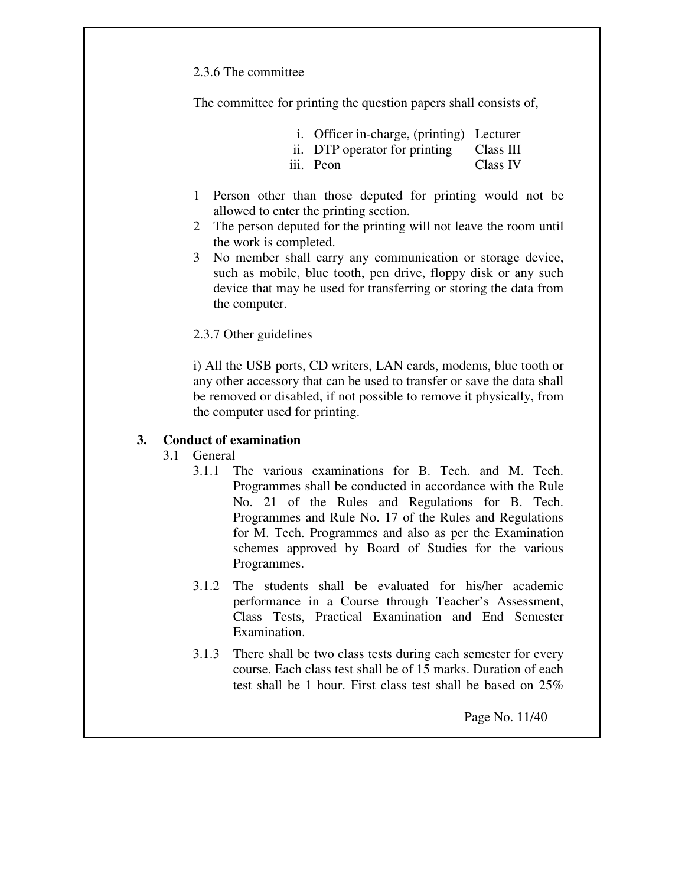2.3.6 The committee

The committee for printing the question papers shall consists of,

|  | i. Officer in-charge, (printing) Lecturer |  |  |
|--|-------------------------------------------|--|--|
|  |                                           |  |  |

- ii. DTP operator for printing Class III
- iii. Peon Class IV
- 1 Person other than those deputed for printing would not be allowed to enter the printing section.
- 2 The person deputed for the printing will not leave the room until the work is completed.
- 3 No member shall carry any communication or storage device, such as mobile, blue tooth, pen drive, floppy disk or any such device that may be used for transferring or storing the data from the computer.
- 2.3.7 Other guidelines

i) All the USB ports, CD writers, LAN cards, modems, blue tooth or any other accessory that can be used to transfer or save the data shall be removed or disabled, if not possible to remove it physically, from the computer used for printing.

### **3. Conduct of examination**

### 3.1 General

- 3.1.1 The various examinations for B. Tech. and M. Tech. Programmes shall be conducted in accordance with the Rule No. 21 of the Rules and Regulations for B. Tech. Programmes and Rule No. 17 of the Rules and Regulations for M. Tech. Programmes and also as per the Examination schemes approved by Board of Studies for the various Programmes.
- 3.1.2 The students shall be evaluated for his/her academic performance in a Course through Teacher's Assessment, Class Tests, Practical Examination and End Semester Examination.
- 3.1.3 There shall be two class tests during each semester for every course. Each class test shall be of 15 marks. Duration of each test shall be 1 hour. First class test shall be based on 25%

Page No. 11/40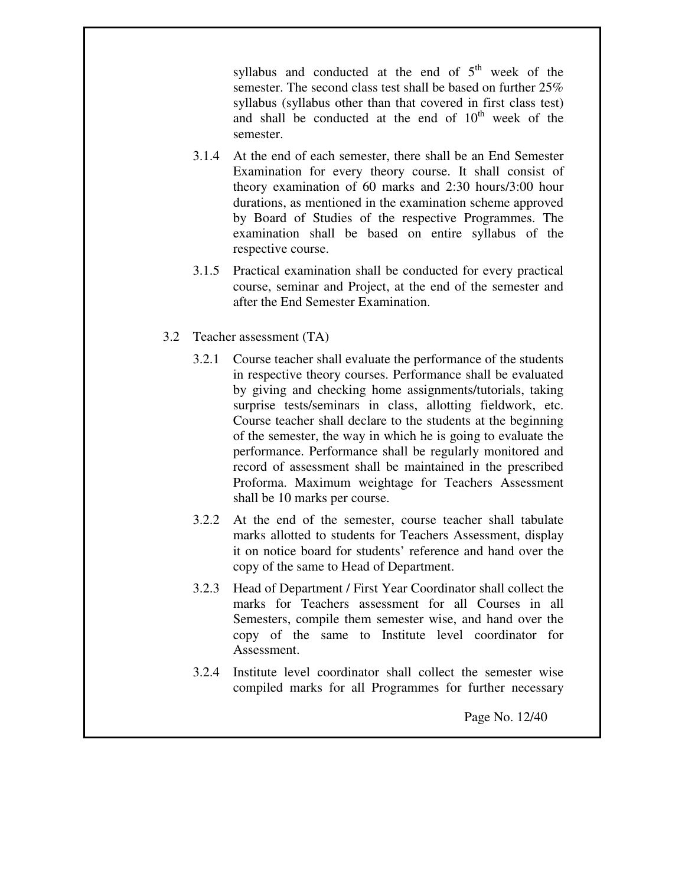syllabus and conducted at the end of  $5<sup>th</sup>$  week of the semester. The second class test shall be based on further 25% syllabus (syllabus other than that covered in first class test) and shall be conducted at the end of  $10<sup>th</sup>$  week of the semester.

- 3.1.4 At the end of each semester, there shall be an End Semester Examination for every theory course. It shall consist of theory examination of 60 marks and 2:30 hours/3:00 hour durations, as mentioned in the examination scheme approved by Board of Studies of the respective Programmes. The examination shall be based on entire syllabus of the respective course.
- 3.1.5 Practical examination shall be conducted for every practical course, seminar and Project, at the end of the semester and after the End Semester Examination.
- 3.2 Teacher assessment (TA)
	- 3.2.1 Course teacher shall evaluate the performance of the students in respective theory courses. Performance shall be evaluated by giving and checking home assignments/tutorials, taking surprise tests/seminars in class, allotting fieldwork, etc. Course teacher shall declare to the students at the beginning of the semester, the way in which he is going to evaluate the performance. Performance shall be regularly monitored and record of assessment shall be maintained in the prescribed Proforma. Maximum weightage for Teachers Assessment shall be 10 marks per course.
	- 3.2.2 At the end of the semester, course teacher shall tabulate marks allotted to students for Teachers Assessment, display it on notice board for students' reference and hand over the copy of the same to Head of Department.
	- 3.2.3 Head of Department / First Year Coordinator shall collect the marks for Teachers assessment for all Courses in all Semesters, compile them semester wise, and hand over the copy of the same to Institute level coordinator for Assessment.
	- 3.2.4 Institute level coordinator shall collect the semester wise compiled marks for all Programmes for further necessary

Page No. 12/40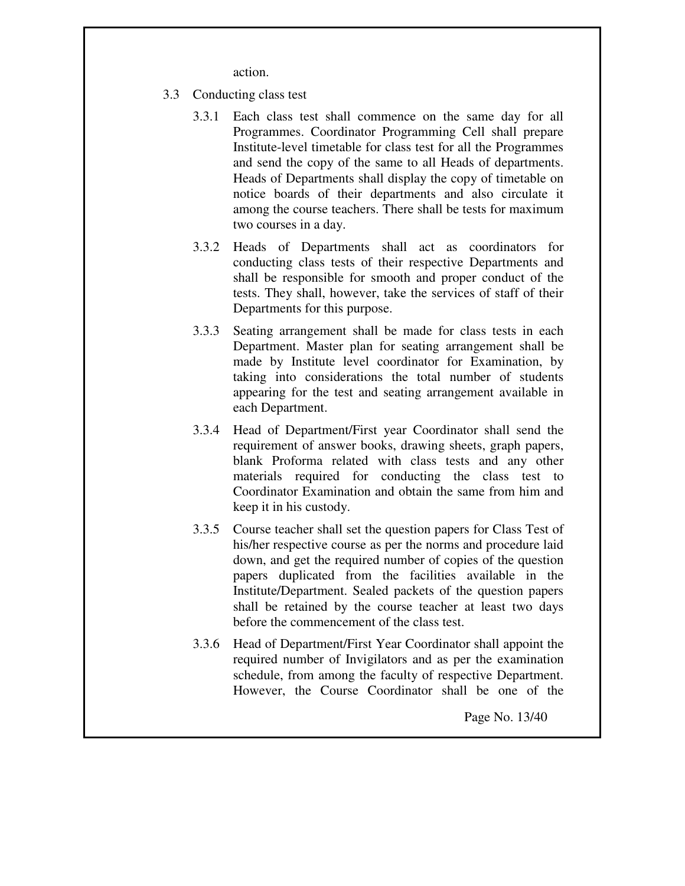action.

- 3.3 Conducting class test
	- 3.3.1 Each class test shall commence on the same day for all Programmes. Coordinator Programming Cell shall prepare Institute-level timetable for class test for all the Programmes and send the copy of the same to all Heads of departments. Heads of Departments shall display the copy of timetable on notice boards of their departments and also circulate it among the course teachers. There shall be tests for maximum two courses in a day.
	- 3.3.2 Heads of Departments shall act as coordinators for conducting class tests of their respective Departments and shall be responsible for smooth and proper conduct of the tests. They shall, however, take the services of staff of their Departments for this purpose.
	- 3.3.3 Seating arrangement shall be made for class tests in each Department. Master plan for seating arrangement shall be made by Institute level coordinator for Examination, by taking into considerations the total number of students appearing for the test and seating arrangement available in each Department.
	- 3.3.4 Head of Department/First year Coordinator shall send the requirement of answer books, drawing sheets, graph papers, blank Proforma related with class tests and any other materials required for conducting the class test to Coordinator Examination and obtain the same from him and keep it in his custody.
	- 3.3.5 Course teacher shall set the question papers for Class Test of his/her respective course as per the norms and procedure laid down, and get the required number of copies of the question papers duplicated from the facilities available in the Institute/Department. Sealed packets of the question papers shall be retained by the course teacher at least two days before the commencement of the class test.
	- 3.3.6 Head of Department/First Year Coordinator shall appoint the required number of Invigilators and as per the examination schedule, from among the faculty of respective Department. However, the Course Coordinator shall be one of the

Page No. 13/40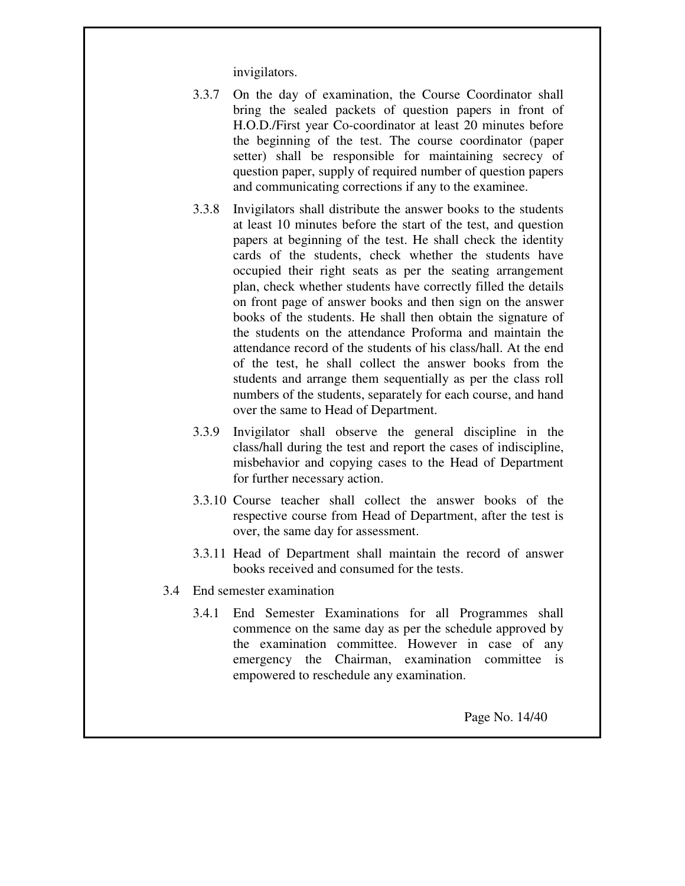invigilators.

- 3.3.7 On the day of examination, the Course Coordinator shall bring the sealed packets of question papers in front of H.O.D./First year Co-coordinator at least 20 minutes before the beginning of the test. The course coordinator (paper setter) shall be responsible for maintaining secrecy of question paper, supply of required number of question papers and communicating corrections if any to the examinee.
- 3.3.8 Invigilators shall distribute the answer books to the students at least 10 minutes before the start of the test, and question papers at beginning of the test. He shall check the identity cards of the students, check whether the students have occupied their right seats as per the seating arrangement plan, check whether students have correctly filled the details on front page of answer books and then sign on the answer books of the students. He shall then obtain the signature of the students on the attendance Proforma and maintain the attendance record of the students of his class/hall. At the end of the test, he shall collect the answer books from the students and arrange them sequentially as per the class roll numbers of the students, separately for each course, and hand over the same to Head of Department.
- 3.3.9 Invigilator shall observe the general discipline in the class/hall during the test and report the cases of indiscipline, misbehavior and copying cases to the Head of Department for further necessary action.
- 3.3.10 Course teacher shall collect the answer books of the respective course from Head of Department, after the test is over, the same day for assessment.
- 3.3.11 Head of Department shall maintain the record of answer books received and consumed for the tests.
- 3.4 End semester examination
	- 3.4.1 End Semester Examinations for all Programmes shall commence on the same day as per the schedule approved by the examination committee. However in case of any emergency the Chairman, examination committee is empowered to reschedule any examination.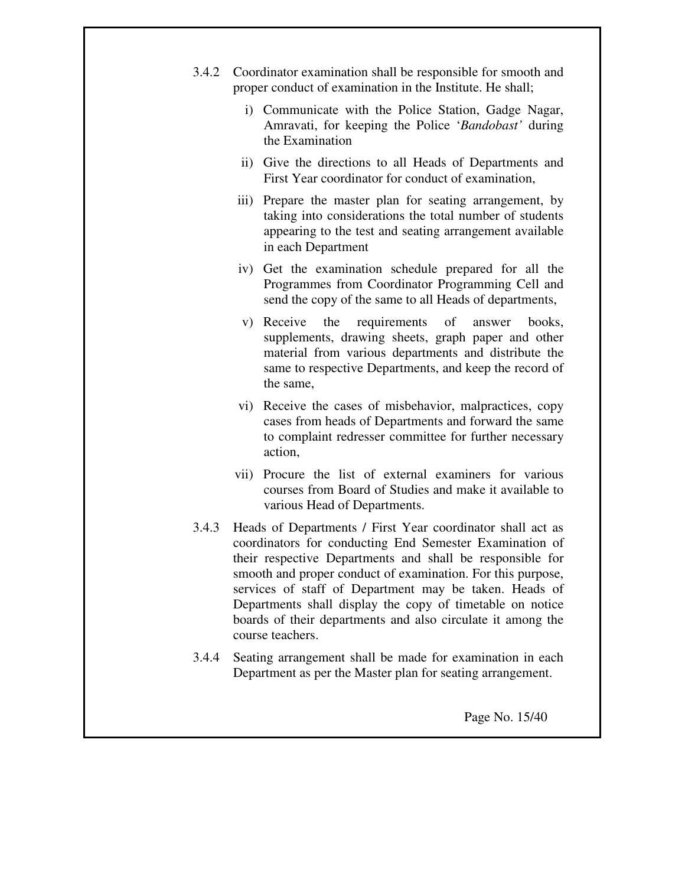- 3.4.2 Coordinator examination shall be responsible for smooth and proper conduct of examination in the Institute. He shall;
	- i) Communicate with the Police Station, Gadge Nagar, Amravati, for keeping the Police '*Bandobast'* during the Examination
	- ii) Give the directions to all Heads of Departments and First Year coordinator for conduct of examination,
	- iii) Prepare the master plan for seating arrangement, by taking into considerations the total number of students appearing to the test and seating arrangement available in each Department
	- iv) Get the examination schedule prepared for all the Programmes from Coordinator Programming Cell and send the copy of the same to all Heads of departments,
	- v) Receive the requirements of answer books, supplements, drawing sheets, graph paper and other material from various departments and distribute the same to respective Departments, and keep the record of the same,
	- vi) Receive the cases of misbehavior, malpractices, copy cases from heads of Departments and forward the same to complaint redresser committee for further necessary action,
	- vii) Procure the list of external examiners for various courses from Board of Studies and make it available to various Head of Departments.
- 3.4.3 Heads of Departments / First Year coordinator shall act as coordinators for conducting End Semester Examination of their respective Departments and shall be responsible for smooth and proper conduct of examination. For this purpose, services of staff of Department may be taken. Heads of Departments shall display the copy of timetable on notice boards of their departments and also circulate it among the course teachers.
- 3.4.4 Seating arrangement shall be made for examination in each Department as per the Master plan for seating arrangement.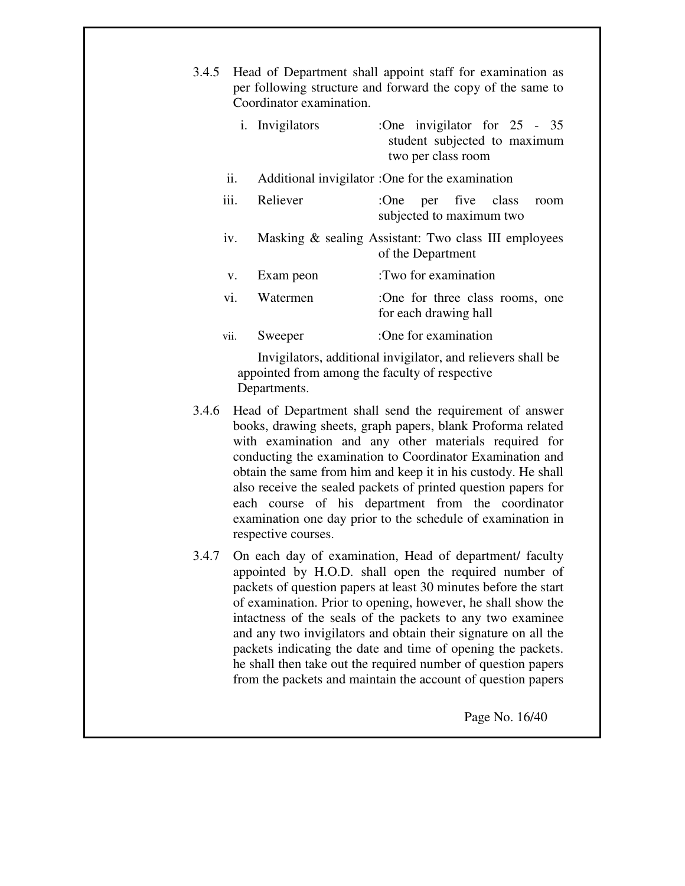- 3.4.5 Head of Department shall appoint staff for examination as per following structure and forward the copy of the same to Coordinator examination. i. Invigilators :One invigilator for 25 - 35 student subjected to maximum two per class room ii. Additional invigilator :One for the examination iii. Reliever :One per five class room subjected to maximum two iv. Masking & sealing Assistant: Two class III employees of the Department v. Exam peon :Two for examination vi. Watermen :One for three class rooms, one for each drawing hall vii. Sweeper :One for examination Invigilators, additional invigilator, and relievers shall be appointed from among the faculty of respective Departments. 3.4.6 Head of Department shall send the requirement of answer books, drawing sheets, graph papers, blank Proforma related with examination and any other materials required for conducting the examination to Coordinator Examination and
- obtain the same from him and keep it in his custody. He shall also receive the sealed packets of printed question papers for each course of his department from the coordinator examination one day prior to the schedule of examination in respective courses.
- 3.4.7 On each day of examination, Head of department/ faculty appointed by H.O.D. shall open the required number of packets of question papers at least 30 minutes before the start of examination. Prior to opening, however, he shall show the intactness of the seals of the packets to any two examinee and any two invigilators and obtain their signature on all the packets indicating the date and time of opening the packets. he shall then take out the required number of question papers from the packets and maintain the account of question papers

Page No. 16/40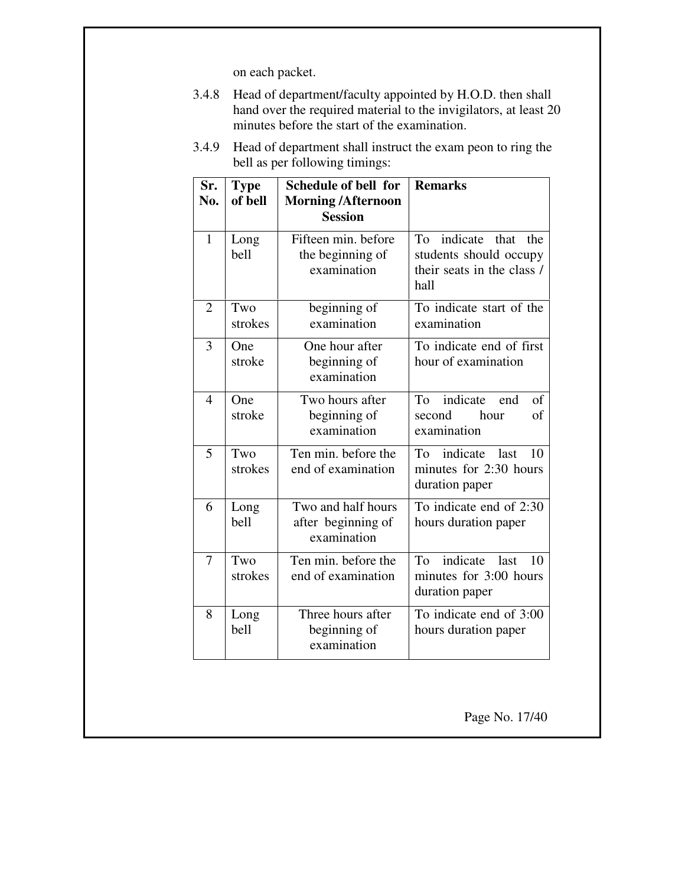on each packet.

- 3.4.8 Head of department/faculty appointed by H.O.D. then shall hand over the required material to the invigilators, at least 20 minutes before the start of the examination.
- 3.4.9 Head of department shall instruct the exam peon to ring the bell as per following timings:

| Sr.<br>No.     | <b>Type</b><br>of bell | Schedule of bell for<br><b>Morning/Afternoon</b><br><b>Session</b> | <b>Remarks</b>                                                                                |
|----------------|------------------------|--------------------------------------------------------------------|-----------------------------------------------------------------------------------------------|
| 1              | Long<br>bell           | Fifteen min. before<br>the beginning of<br>examination             | indicate<br>To<br>that<br>the<br>students should occupy<br>their seats in the class /<br>hall |
| $\overline{2}$ | Two<br>strokes         | beginning of<br>examination                                        | To indicate start of the<br>examination                                                       |
| 3              | One<br>stroke          | One hour after<br>beginning of<br>examination                      | To indicate end of first<br>hour of examination                                               |
| 4              | One<br>stroke          | Two hours after<br>beginning of<br>examination                     | indicate<br>of<br>To<br>end<br>hour<br>of<br>second<br>examination                            |
| 5              | Two<br>strokes         | Ten min. before the<br>end of examination                          | indicate<br>last<br>10<br>To<br>minutes for 2:30 hours<br>duration paper                      |
| 6              | Long<br>bell           | Two and half hours<br>after beginning of<br>examination            | To indicate end of 2:30<br>hours duration paper                                               |
| 7              | Two<br>strokes         | Ten min. before the<br>end of examination                          | indicate last<br>To<br>10<br>minutes for 3:00 hours<br>duration paper                         |
| 8              | Long<br>bell           | Three hours after<br>beginning of<br>examination                   | To indicate end of 3:00<br>hours duration paper                                               |

Page No. 17/40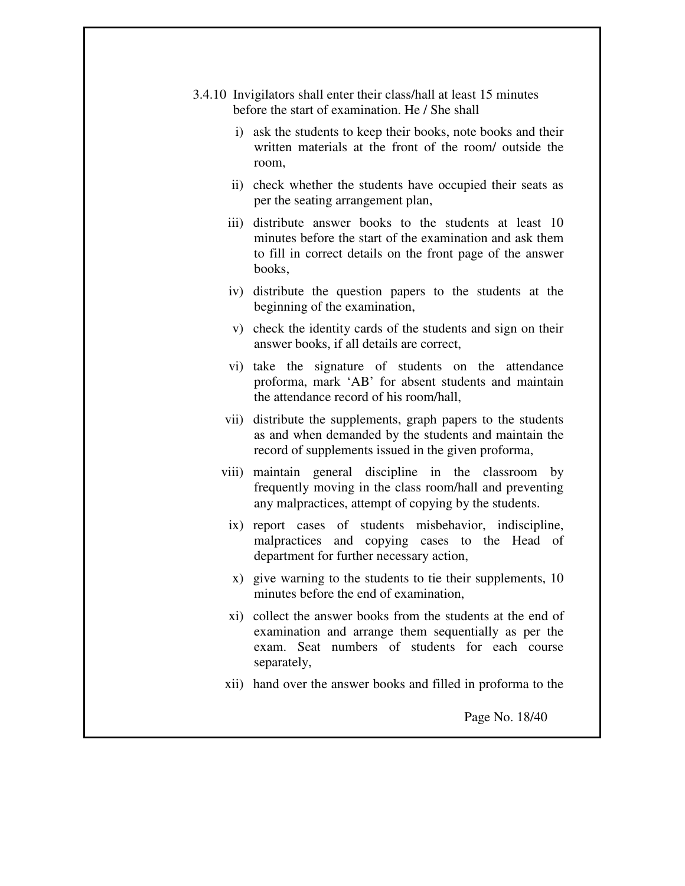- 3.4.10 Invigilators shall enter their class/hall at least 15 minutes before the start of examination. He / She shall
	- i) ask the students to keep their books, note books and their written materials at the front of the room/ outside the room,
	- ii) check whether the students have occupied their seats as per the seating arrangement plan,
	- iii) distribute answer books to the students at least 10 minutes before the start of the examination and ask them to fill in correct details on the front page of the answer books,
	- iv) distribute the question papers to the students at the beginning of the examination,
	- v) check the identity cards of the students and sign on their answer books, if all details are correct,
	- vi) take the signature of students on the attendance proforma, mark 'AB' for absent students and maintain the attendance record of his room/hall,
	- vii) distribute the supplements, graph papers to the students as and when demanded by the students and maintain the record of supplements issued in the given proforma,
	- viii) maintain general discipline in the classroom by frequently moving in the class room/hall and preventing any malpractices, attempt of copying by the students.
	- ix) report cases of students misbehavior, indiscipline, malpractices and copying cases to the Head of department for further necessary action,
	- x) give warning to the students to tie their supplements, 10 minutes before the end of examination,
	- xi) collect the answer books from the students at the end of examination and arrange them sequentially as per the exam. Seat numbers of students for each course separately,
	- xii) hand over the answer books and filled in proforma to the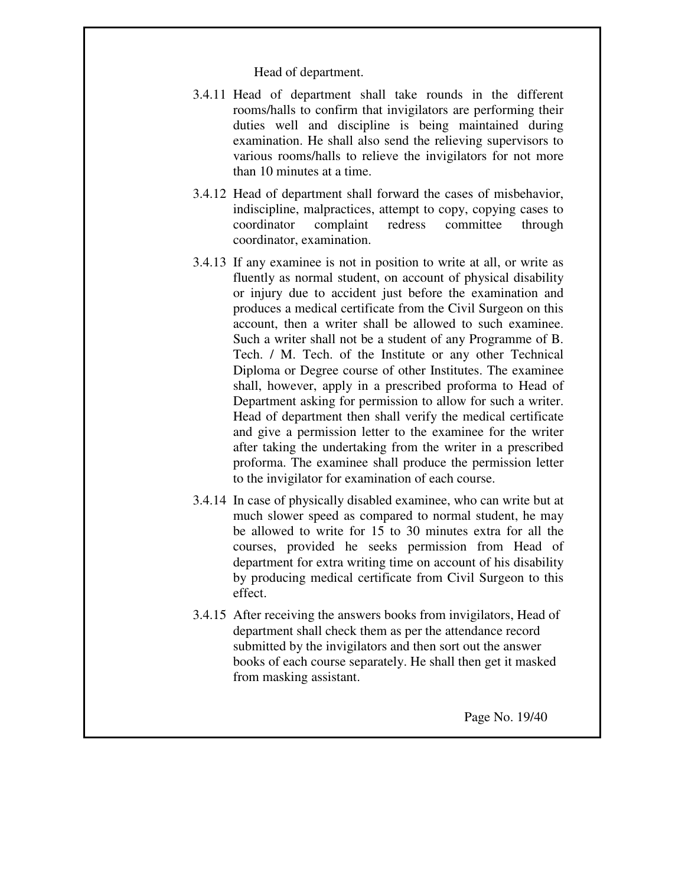Head of department.

- 3.4.11 Head of department shall take rounds in the different rooms/halls to confirm that invigilators are performing their duties well and discipline is being maintained during examination. He shall also send the relieving supervisors to various rooms/halls to relieve the invigilators for not more than 10 minutes at a time.
- 3.4.12 Head of department shall forward the cases of misbehavior, indiscipline, malpractices, attempt to copy, copying cases to coordinator complaint redress committee through coordinator, examination.
- 3.4.13 If any examinee is not in position to write at all, or write as fluently as normal student, on account of physical disability or injury due to accident just before the examination and produces a medical certificate from the Civil Surgeon on this account, then a writer shall be allowed to such examinee. Such a writer shall not be a student of any Programme of B. Tech. / M. Tech. of the Institute or any other Technical Diploma or Degree course of other Institutes. The examinee shall, however, apply in a prescribed proforma to Head of Department asking for permission to allow for such a writer. Head of department then shall verify the medical certificate and give a permission letter to the examinee for the writer after taking the undertaking from the writer in a prescribed proforma. The examinee shall produce the permission letter to the invigilator for examination of each course.
- 3.4.14 In case of physically disabled examinee, who can write but at much slower speed as compared to normal student, he may be allowed to write for 15 to 30 minutes extra for all the courses, provided he seeks permission from Head of department for extra writing time on account of his disability by producing medical certificate from Civil Surgeon to this effect.
- 3.4.15 After receiving the answers books from invigilators, Head of department shall check them as per the attendance record submitted by the invigilators and then sort out the answer books of each course separately. He shall then get it masked from masking assistant.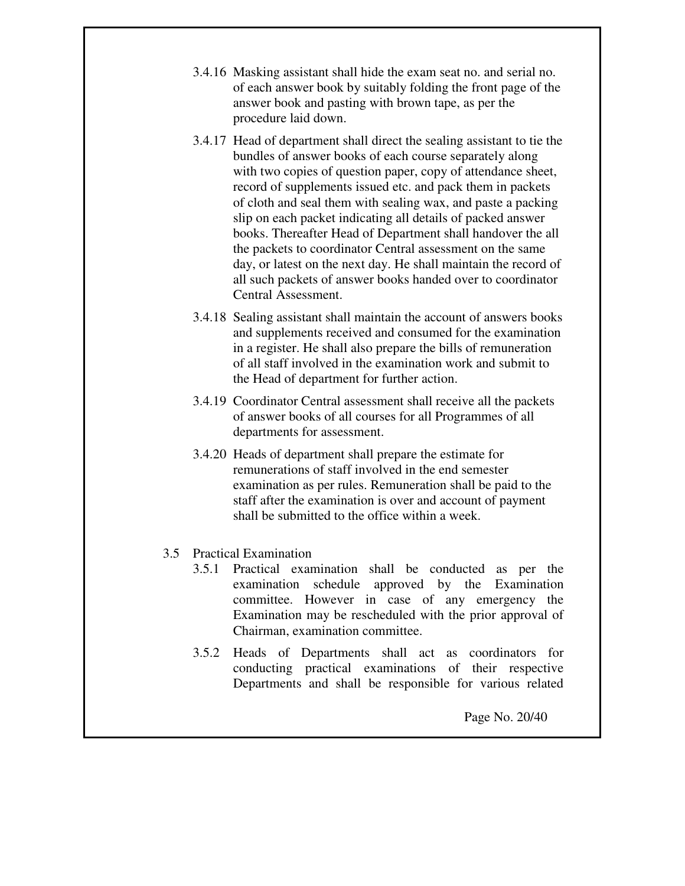- 3.4.16 Masking assistant shall hide the exam seat no. and serial no. of each answer book by suitably folding the front page of the answer book and pasting with brown tape, as per the procedure laid down.
- 3.4.17 Head of department shall direct the sealing assistant to tie the bundles of answer books of each course separately along with two copies of question paper, copy of attendance sheet, record of supplements issued etc. and pack them in packets of cloth and seal them with sealing wax, and paste a packing slip on each packet indicating all details of packed answer books. Thereafter Head of Department shall handover the all the packets to coordinator Central assessment on the same day, or latest on the next day. He shall maintain the record of all such packets of answer books handed over to coordinator Central Assessment.
- 3.4.18 Sealing assistant shall maintain the account of answers books and supplements received and consumed for the examination in a register. He shall also prepare the bills of remuneration of all staff involved in the examination work and submit to the Head of department for further action.
- 3.4.19 Coordinator Central assessment shall receive all the packets of answer books of all courses for all Programmes of all departments for assessment.
- 3.4.20 Heads of department shall prepare the estimate for remunerations of staff involved in the end semester examination as per rules. Remuneration shall be paid to the staff after the examination is over and account of payment shall be submitted to the office within a week.

### 3.5 Practical Examination

- 3.5.1 Practical examination shall be conducted as per the examination schedule approved by the Examination committee. However in case of any emergency the Examination may be rescheduled with the prior approval of Chairman, examination committee.
- 3.5.2 Heads of Departments shall act as coordinators for conducting practical examinations of their respective Departments and shall be responsible for various related

Page No. 20/40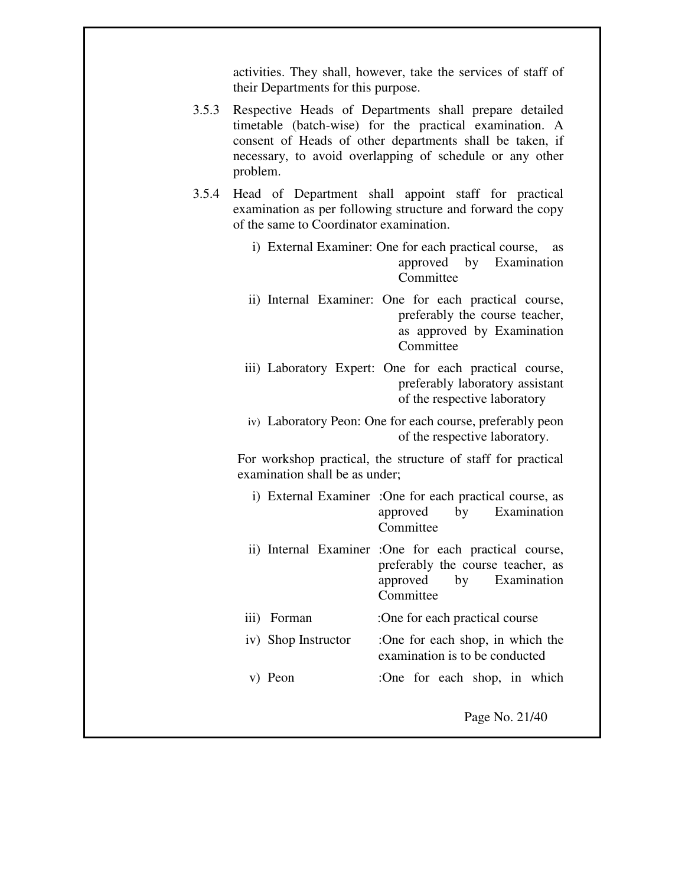activities. They shall, however, take the services of staff of their Departments for this purpose.

- 3.5.3 Respective Heads of Departments shall prepare detailed timetable (batch-wise) for the practical examination. A consent of Heads of other departments shall be taken, if necessary, to avoid overlapping of schedule or any other problem.
- 3.5.4 Head of Department shall appoint staff for practical examination as per following structure and forward the copy of the same to Coordinator examination.
	- i) External Examiner: One for each practical course, as approved by Examination Committee
	- ii) Internal Examiner: One for each practical course, preferably the course teacher, as approved by Examination Committee
	- iii) Laboratory Expert: One for each practical course, preferably laboratory assistant of the respective laboratory
	- iv) Laboratory Peon: One for each course, preferably peon of the respective laboratory.

For workshop practical, the structure of staff for practical examination shall be as under;

- i) External Examiner :One for each practical course, as approved by Examination Committee
- ii) Internal Examiner :One for each practical course, preferably the course teacher, as approved by Examination Committee
- iii) Forman :One for each practical course
- iv) Shop Instructor :One for each shop, in which the examination is to be conducted
- v) Peon :One for each shop, in which

Page No. 21/40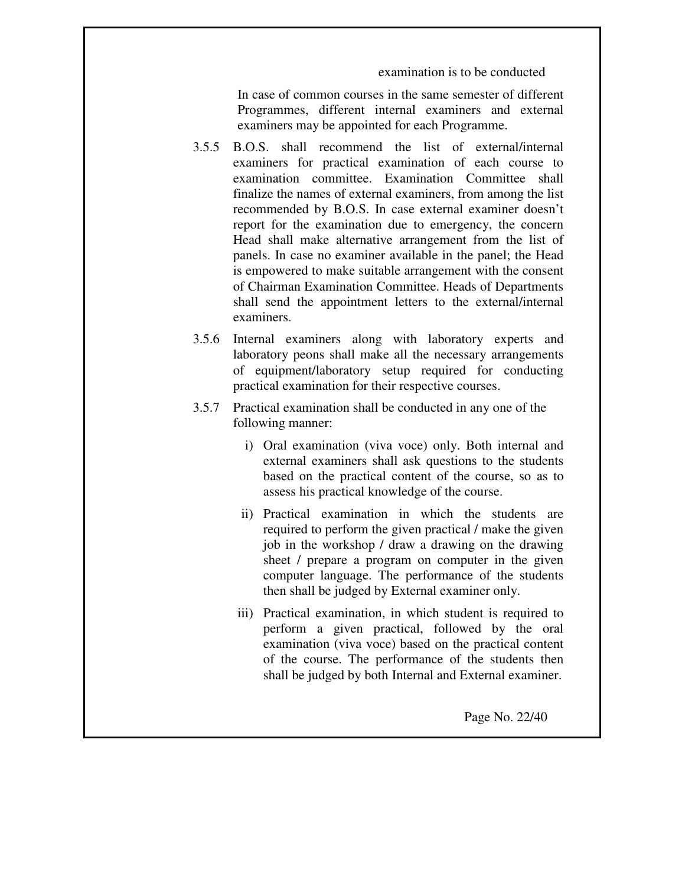examination is to be conducted

In case of common courses in the same semester of different Programmes, different internal examiners and external examiners may be appointed for each Programme.

- 3.5.5 B.O.S. shall recommend the list of external/internal examiners for practical examination of each course to examination committee. Examination Committee shall finalize the names of external examiners, from among the list recommended by B.O.S. In case external examiner doesn't report for the examination due to emergency, the concern Head shall make alternative arrangement from the list of panels. In case no examiner available in the panel; the Head is empowered to make suitable arrangement with the consent of Chairman Examination Committee. Heads of Departments shall send the appointment letters to the external/internal examiners.
- 3.5.6 Internal examiners along with laboratory experts and laboratory peons shall make all the necessary arrangements of equipment/laboratory setup required for conducting practical examination for their respective courses.
- 3.5.7 Practical examination shall be conducted in any one of the following manner:
	- i) Oral examination (viva voce) only. Both internal and external examiners shall ask questions to the students based on the practical content of the course, so as to assess his practical knowledge of the course.
	- ii) Practical examination in which the students are required to perform the given practical / make the given job in the workshop / draw a drawing on the drawing sheet / prepare a program on computer in the given computer language. The performance of the students then shall be judged by External examiner only.
	- iii) Practical examination, in which student is required to perform a given practical, followed by the oral examination (viva voce) based on the practical content of the course. The performance of the students then shall be judged by both Internal and External examiner.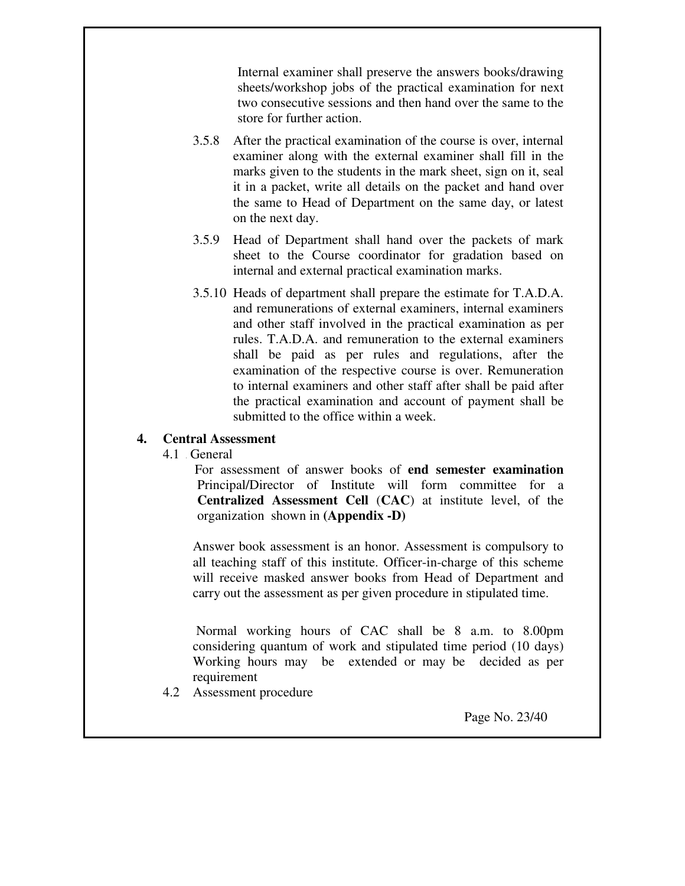Internal examiner shall preserve the answers books/drawing sheets/workshop jobs of the practical examination for next two consecutive sessions and then hand over the same to the store for further action.

- 3.5.8 After the practical examination of the course is over, internal examiner along with the external examiner shall fill in the marks given to the students in the mark sheet, sign on it, seal it in a packet, write all details on the packet and hand over the same to Head of Department on the same day, or latest on the next day.
- 3.5.9 Head of Department shall hand over the packets of mark sheet to the Course coordinator for gradation based on internal and external practical examination marks.
- 3.5.10 Heads of department shall prepare the estimate for T.A.D.A. and remunerations of external examiners, internal examiners and other staff involved in the practical examination as per rules. T.A.D.A. and remuneration to the external examiners shall be paid as per rules and regulations, after the examination of the respective course is over. Remuneration to internal examiners and other staff after shall be paid after the practical examination and account of payment shall be submitted to the office within a week.

#### **4. Central Assessment**

4.1 **Genera** General

 For assessment of answer books of **end semester examination** Principal/Director of Institute will form committee for a **Centralized Assessment Cell** (**CAC**) at institute level, of the organization shown in **(Appendix -D)** 

Answer book assessment is an honor. Assessment is compulsory to all teaching staff of this institute. Officer-in-charge of this scheme will receive masked answer books from Head of Department and carry out the assessment as per given procedure in stipulated time.

Normal working hours of CAC shall be 8 a.m. to 8.00pm considering quantum of work and stipulated time period (10 days) Working hours may be extended or may be decided as per requirement

4.2 Assessment procedure

Page No. 23/40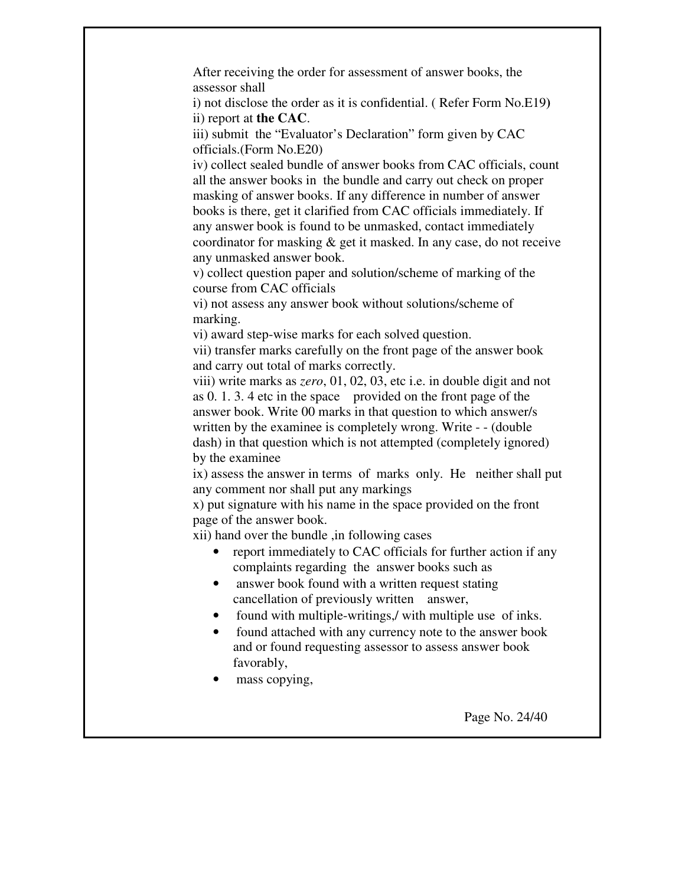After receiving the order for assessment of answer books, the assessor shall

i) not disclose the order as it is confidential. ( Refer Form No.E19**)**  ii) report at **the CAC**.

iii) submit the "Evaluator's Declaration" form given by CAC officials.(Form No.E20)

iv) collect sealed bundle of answer books from CAC officials, count all the answer books in the bundle and carry out check on proper masking of answer books. If any difference in number of answer books is there, get it clarified from CAC officials immediately. If any answer book is found to be unmasked, contact immediately coordinator for masking & get it masked. In any case, do not receive any unmasked answer book.

v) collect question paper and solution/scheme of marking of the course from CAC officials

vi) not assess any answer book without solutions/scheme of marking.

vi) award step-wise marks for each solved question.

vii) transfer marks carefully on the front page of the answer book and carry out total of marks correctly.

viii) write marks as *zero*, 01, 02, 03, etc i.e. in double digit and not as 0. 1. 3. 4 etc in the space provided on the front page of the answer book. Write 00 marks in that question to which answer/s written by the examinee is completely wrong. Write - - (double dash) in that question which is not attempted (completely ignored) by the examinee

ix) assess the answer in terms of marks only. He neither shall put any comment nor shall put any markings

x) put signature with his name in the space provided on the front page of the answer book.

xii) hand over the bundle ,in following cases

- report immediately to CAC officials for further action if any complaints regarding the answer books such as
- answer book found with a written request stating cancellation of previously written answer,
- found with multiple-writings, with multiple use of inks.
- found attached with any currency note to the answer book and or found requesting assessor to assess answer book favorably,
- mass copying,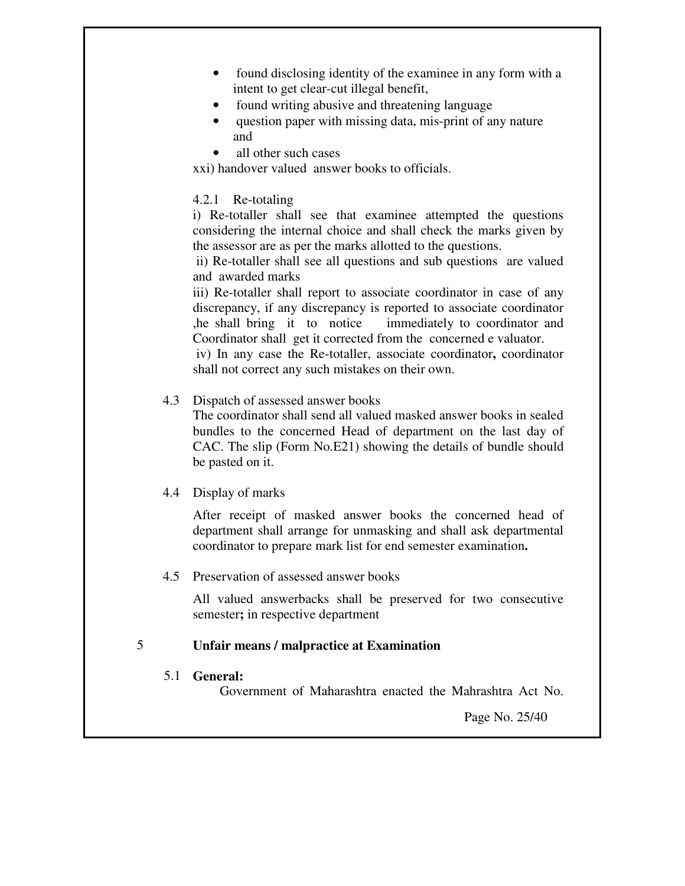- found disclosing identity of the examinee in any form with a intent to get clear-cut illegal benefit,
- found writing abusive and threatening language
- question paper with missing data, mis-print of any nature and
- all other such cases

xxi) handover valued answer books to officials.

#### 4.2.1 Re-totaling

i) Re-totaller shall see that examinee attempted the questions considering the internal choice and shall check the marks given by the assessor are as per the marks allotted to the questions.

 ii) Re-totaller shall see all questions and sub questions are valued and awarded marks

iii) Re-totaller shall report to associate coordinator in case of any discrepancy, if any discrepancy is reported to associate coordinator ,he shall bring it to notice immediately to coordinator and Coordinator shall get it corrected from the concerned e valuator.

 iv) In any case the Re-totaller, associate coordinator**,** coordinator shall not correct any such mistakes on their own.

#### 4.3 Dispatch of assessed answer books

 The coordinator shall send all valued masked answer books in sealed bundles to the concerned Head of department on the last day of CAC. The slip (Form No.E21) showing the details of bundle should be pasted on it.

### 4.4 Display of marks

 After receipt of masked answer books the concerned head of department shall arrange for unmasking and shall ask departmental coordinator to prepare mark list for end semester examination**.** 

### 4.5 Preservation of assessed answer books

 All valued answerbacks shall be preserved for two consecutive semester**;** in respective department

#### 5 **Unfair means / malpractice at Examination**

### 5.1 **General:**

Government of Maharashtra enacted the Mahrashtra Act No.

Page No. 25/40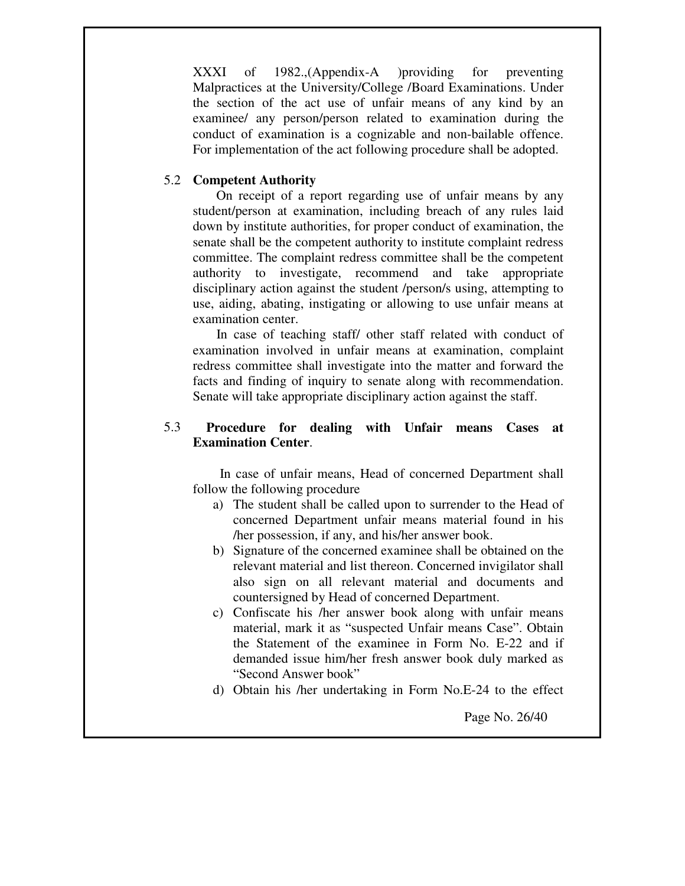XXXI of 1982.,(Appendix-A )providing for preventing Malpractices at the University/College /Board Examinations. Under the section of the act use of unfair means of any kind by an examinee/ any person/person related to examination during the conduct of examination is a cognizable and non-bailable offence. For implementation of the act following procedure shall be adopted.

#### 5.2 **Competent Authority**

On receipt of a report regarding use of unfair means by any student/person at examination, including breach of any rules laid down by institute authorities, for proper conduct of examination, the senate shall be the competent authority to institute complaint redress committee. The complaint redress committee shall be the competent authority to investigate, recommend and take appropriate disciplinary action against the student /person/s using, attempting to use, aiding, abating, instigating or allowing to use unfair means at examination center.

 In case of teaching staff/ other staff related with conduct of examination involved in unfair means at examination, complaint redress committee shall investigate into the matter and forward the facts and finding of inquiry to senate along with recommendation. Senate will take appropriate disciplinary action against the staff.

#### 5.3  **Procedure for dealing with Unfair means Cases at Examination Center**.

 In case of unfair means, Head of concerned Department shall follow the following procedure

- a) The student shall be called upon to surrender to the Head of concerned Department unfair means material found in his /her possession, if any, and his/her answer book.
- b) Signature of the concerned examinee shall be obtained on the relevant material and list thereon. Concerned invigilator shall also sign on all relevant material and documents and countersigned by Head of concerned Department.
- c) Confiscate his /her answer book along with unfair means material, mark it as "suspected Unfair means Case". Obtain the Statement of the examinee in Form No. E-22 and if demanded issue him/her fresh answer book duly marked as "Second Answer book"
- d) Obtain his /her undertaking in Form No.E-24 to the effect

Page No. 26/40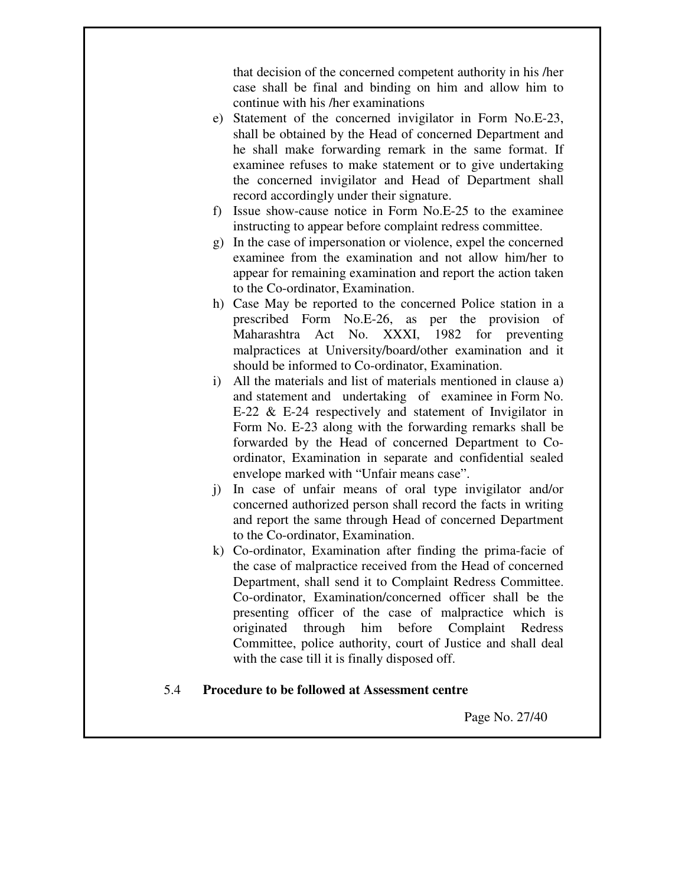that decision of the concerned competent authority in his /her case shall be final and binding on him and allow him to continue with his /her examinations

- e) Statement of the concerned invigilator in Form No.E-23, shall be obtained by the Head of concerned Department and he shall make forwarding remark in the same format. If examinee refuses to make statement or to give undertaking the concerned invigilator and Head of Department shall record accordingly under their signature.
- f) Issue show-cause notice in Form No.E-25 to the examinee instructing to appear before complaint redress committee.
- g) In the case of impersonation or violence, expel the concerned examinee from the examination and not allow him/her to appear for remaining examination and report the action taken to the Co-ordinator, Examination.
- h) Case May be reported to the concerned Police station in a prescribed Form No.E-26, as per the provision of Maharashtra Act No. XXXI, 1982 for preventing malpractices at University/board/other examination and it should be informed to Co-ordinator, Examination.
- i) All the materials and list of materials mentioned in clause a) and statement and undertaking of examinee in Form No. E-22 & E-24 respectively and statement of Invigilator in Form No. E-23 along with the forwarding remarks shall be forwarded by the Head of concerned Department to Coordinator, Examination in separate and confidential sealed envelope marked with "Unfair means case".
- j) In case of unfair means of oral type invigilator and/or concerned authorized person shall record the facts in writing and report the same through Head of concerned Department to the Co-ordinator, Examination.
- k) Co-ordinator, Examination after finding the prima-facie of the case of malpractice received from the Head of concerned Department, shall send it to Complaint Redress Committee. Co-ordinator, Examination/concerned officer shall be the presenting officer of the case of malpractice which is originated through him before Complaint Redress Committee, police authority, court of Justice and shall deal with the case till it is finally disposed off.

#### 5.4 **Procedure to be followed at Assessment centre**

Page No. 27/40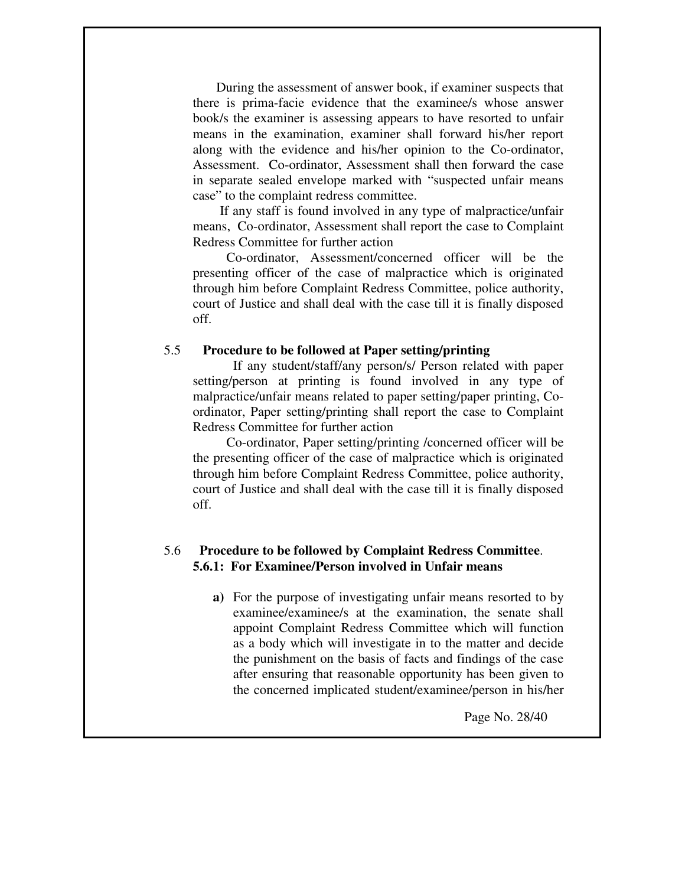During the assessment of answer book, if examiner suspects that there is prima-facie evidence that the examinee/s whose answer book/s the examiner is assessing appears to have resorted to unfair means in the examination, examiner shall forward his/her report along with the evidence and his/her opinion to the Co-ordinator, Assessment. Co-ordinator, Assessment shall then forward the case in separate sealed envelope marked with "suspected unfair means case" to the complaint redress committee.

 If any staff is found involved in any type of malpractice/unfair means, Co-ordinator, Assessment shall report the case to Complaint Redress Committee for further action

 Co-ordinator, Assessment/concerned officer will be the presenting officer of the case of malpractice which is originated through him before Complaint Redress Committee, police authority, court of Justice and shall deal with the case till it is finally disposed off.

#### 5.5 **Procedure to be followed at Paper setting/printing**

 If any student/staff/any person/s/ Person related with paper setting/person at printing is found involved in any type of malpractice/unfair means related to paper setting/paper printing, Coordinator, Paper setting/printing shall report the case to Complaint Redress Committee for further action

 Co-ordinator, Paper setting/printing /concerned officer will be the presenting officer of the case of malpractice which is originated through him before Complaint Redress Committee, police authority, court of Justice and shall deal with the case till it is finally disposed off.

#### 5.6 **Procedure to be followed by Complaint Redress Committee**. **5.6.1: For Examinee/Person involved in Unfair means**

**a)** For the purpose of investigating unfair means resorted to by examinee/examinee/s at the examination, the senate shall appoint Complaint Redress Committee which will function as a body which will investigate in to the matter and decide the punishment on the basis of facts and findings of the case after ensuring that reasonable opportunity has been given to the concerned implicated student/examinee/person in his/her

Page No. 28/40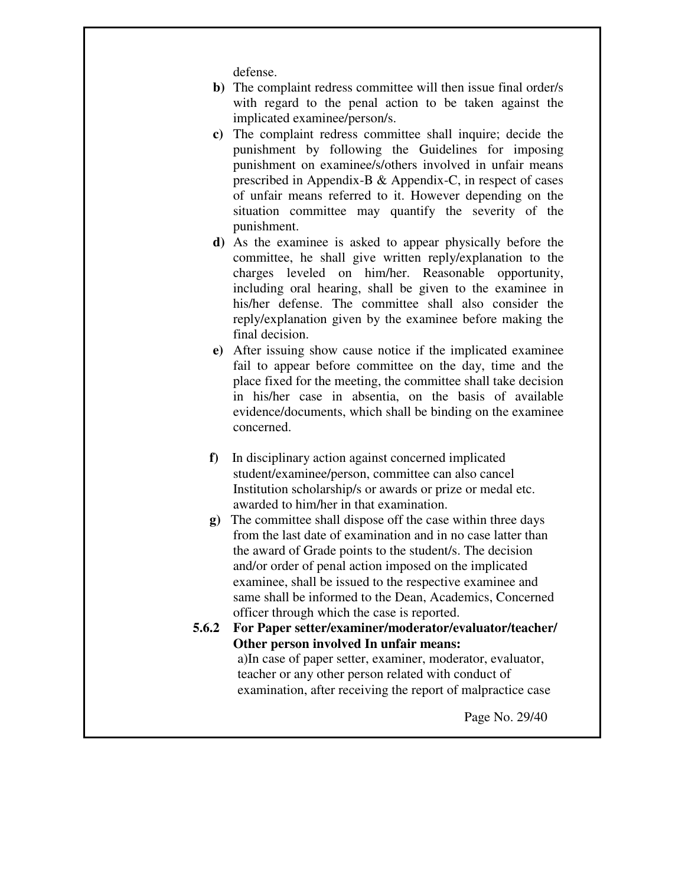defense.

- **b)** The complaint redress committee will then issue final order/s with regard to the penal action to be taken against the implicated examinee/person/s.
- **c)** The complaint redress committee shall inquire; decide the punishment by following the Guidelines for imposing punishment on examinee/s/others involved in unfair means prescribed in Appendix-B & Appendix-C, in respect of cases of unfair means referred to it. However depending on the situation committee may quantify the severity of the punishment.
- **d)** As the examinee is asked to appear physically before the committee, he shall give written reply/explanation to the charges leveled on him/her. Reasonable opportunity, including oral hearing, shall be given to the examinee in his/her defense. The committee shall also consider the reply/explanation given by the examinee before making the final decision.
- **e)** After issuing show cause notice if the implicated examinee fail to appear before committee on the day, time and the place fixed for the meeting, the committee shall take decision in his/her case in absentia, on the basis of available evidence/documents, which shall be binding on the examinee concerned.
- **f)** In disciplinary action against concerned implicated student/examinee/person, committee can also cancel Institution scholarship/s or awards or prize or medal etc. awarded to him/her in that examination.
- **g)** The committee shall dispose off the case within three days from the last date of examination and in no case latter than the award of Grade points to the student/s. The decision and/or order of penal action imposed on the implicated examinee, shall be issued to the respective examinee and same shall be informed to the Dean, Academics, Concerned officer through which the case is reported.
- **5.6.2 For Paper setter/examiner/moderator/evaluator/teacher/ Other person involved In unfair means:**  a)In case of paper setter, examiner, moderator, evaluator, teacher or any other person related with conduct of examination, after receiving the report of malpractice case

Page No. 29/40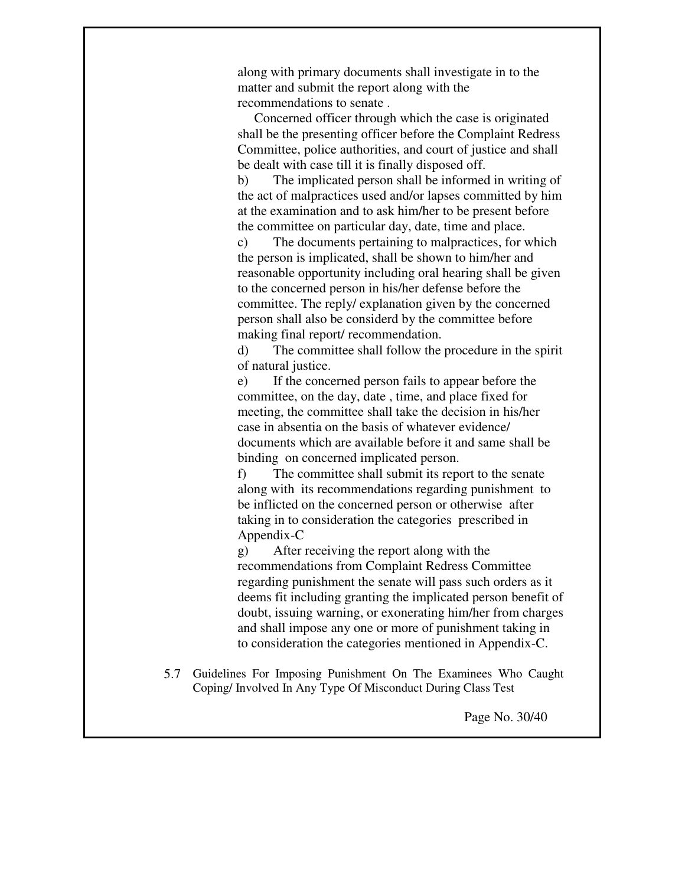along with primary documents shall investigate in to the matter and submit the report along with the recommendations to senate .

 Concerned officer through which the case is originated shall be the presenting officer before the Complaint Redress Committee, police authorities, and court of justice and shall be dealt with case till it is finally disposed off.

b) The implicated person shall be informed in writing of the act of malpractices used and/or lapses committed by him at the examination and to ask him/her to be present before the committee on particular day, date, time and place.

c) The documents pertaining to malpractices, for which the person is implicated, shall be shown to him/her and reasonable opportunity including oral hearing shall be given to the concerned person in his/her defense before the committee. The reply/ explanation given by the concerned person shall also be considerd by the committee before making final report/ recommendation.

d) The committee shall follow the procedure in the spirit of natural justice.

e) If the concerned person fails to appear before the committee, on the day, date , time, and place fixed for meeting, the committee shall take the decision in his/her case in absentia on the basis of whatever evidence/ documents which are available before it and same shall be binding on concerned implicated person.

f) The committee shall submit its report to the senate along with its recommendations regarding punishment to be inflicted on the concerned person or otherwise after taking in to consideration the categories prescribed in Appendix-C

g) After receiving the report along with the recommendations from Complaint Redress Committee regarding punishment the senate will pass such orders as it deems fit including granting the implicated person benefit of doubt, issuing warning, or exonerating him/her from charges and shall impose any one or more of punishment taking in to consideration the categories mentioned in Appendix-C.

5.7 Guidelines For Imposing Punishment On The Examinees Who Caught Coping/ Involved In Any Type Of Misconduct During Class Test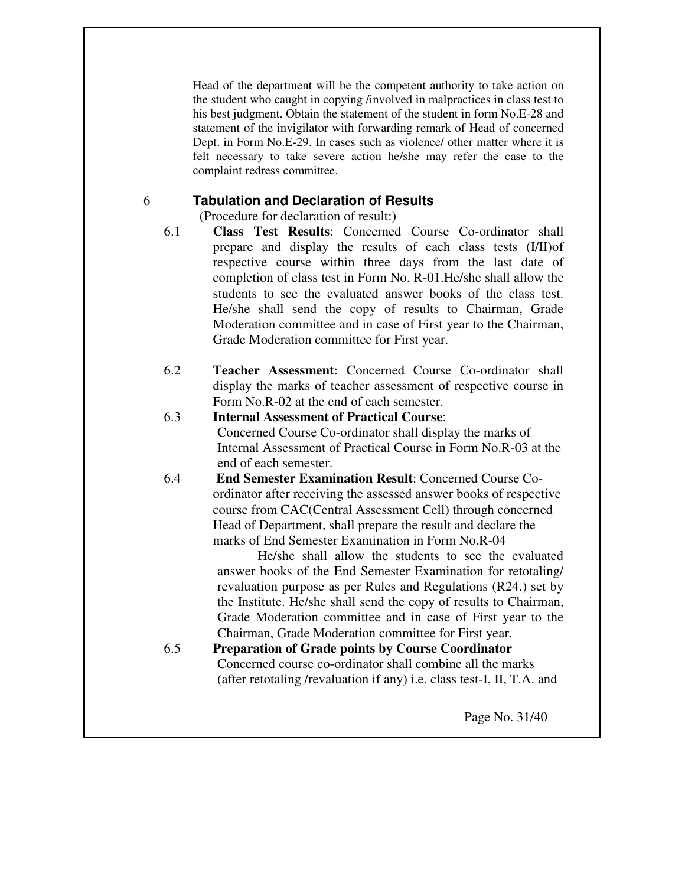Head of the department will be the competent authority to take action on the student who caught in copying /involved in malpractices in class test to his best judgment. Obtain the statement of the student in form No.E-28 and statement of the invigilator with forwarding remark of Head of concerned Dept. in Form No.E-29. In cases such as violence/ other matter where it is felt necessary to take severe action he/she may refer the case to the complaint redress committee.

#### 6 **Tabulation and Declaration of Results**

(Procedure for declaration of result:)

- 6.1 **Class Test Results**: Concerned Course Co-ordinator shall prepare and display the results of each class tests (I/II)of respective course within three days from the last date of completion of class test in Form No. R-01.He/she shall allow the students to see the evaluated answer books of the class test. He/she shall send the copy of results to Chairman, Grade Moderation committee and in case of First year to the Chairman, Grade Moderation committee for First year.
- 6.2 **Teacher Assessment**: Concerned Course Co-ordinator shall display the marks of teacher assessment of respective course in Form No.R-02 at the end of each semester.
- 6.3 **Internal Assessment of Practical Course**: Concerned Course Co-ordinator shall display the marks of Internal Assessment of Practical Course in Form No.R-03 at the end of each semester.
- 6.4 **End Semester Examination Result**: Concerned Course Coordinator after receiving the assessed answer books of respective course from CAC(Central Assessment Cell) through concerned Head of Department, shall prepare the result and declare the marks of End Semester Examination in Form No.R-04

 He/she shall allow the students to see the evaluated answer books of the End Semester Examination for retotaling/ revaluation purpose as per Rules and Regulations (R24.) set by the Institute. He/she shall send the copy of results to Chairman, Grade Moderation committee and in case of First year to the Chairman, Grade Moderation committee for First year.

6.5 **Preparation of Grade points by Course Coordinator**  Concerned course co-ordinator shall combine all the marks (after retotaling /revaluation if any) i.e. class test-I, II, T.A. and

Page No. 31/40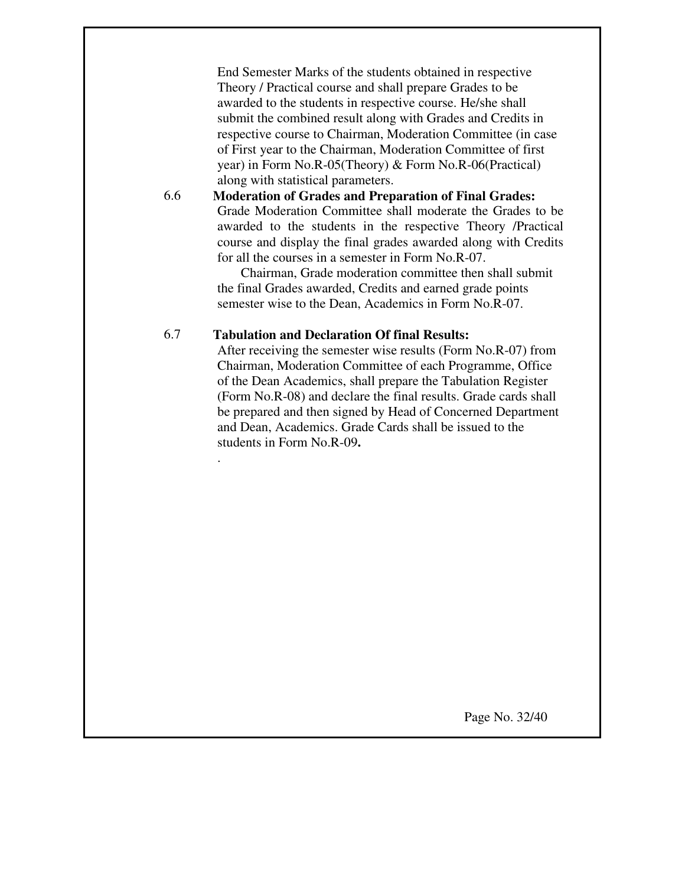End Semester Marks of the students obtained in respective Theory / Practical course and shall prepare Grades to be awarded to the students in respective course. He/she shall submit the combined result along with Grades and Credits in respective course to Chairman, Moderation Committee (in case of First year to the Chairman, Moderation Committee of first year) in Form No.R-05(Theory) & Form No.R-06(Practical) along with statistical parameters.

**Moderation of Grades and Preparation of Final Grades:**  Grade Moderation Committee shall moderate the Grades to be awarded to the students in the respective Theory /Practical course and display the final grades awarded along with Credits for all the courses in a semester in Form No.R-07.

 Chairman, Grade moderation committee then shall submit the final Grades awarded, Credits and earned grade points semester wise to the Dean, Academics in Form No.R-07.

#### 6.7 **Tabulation and Declaration Of final Results:**

6.6

.

After receiving the semester wise results (Form No.R-07) from Chairman, Moderation Committee of each Programme, Office of the Dean Academics, shall prepare the Tabulation Register (Form No.R-08) and declare the final results. Grade cards shall be prepared and then signed by Head of Concerned Department and Dean, Academics. Grade Cards shall be issued to the students in Form No.R-09**.**

Page No. 32/40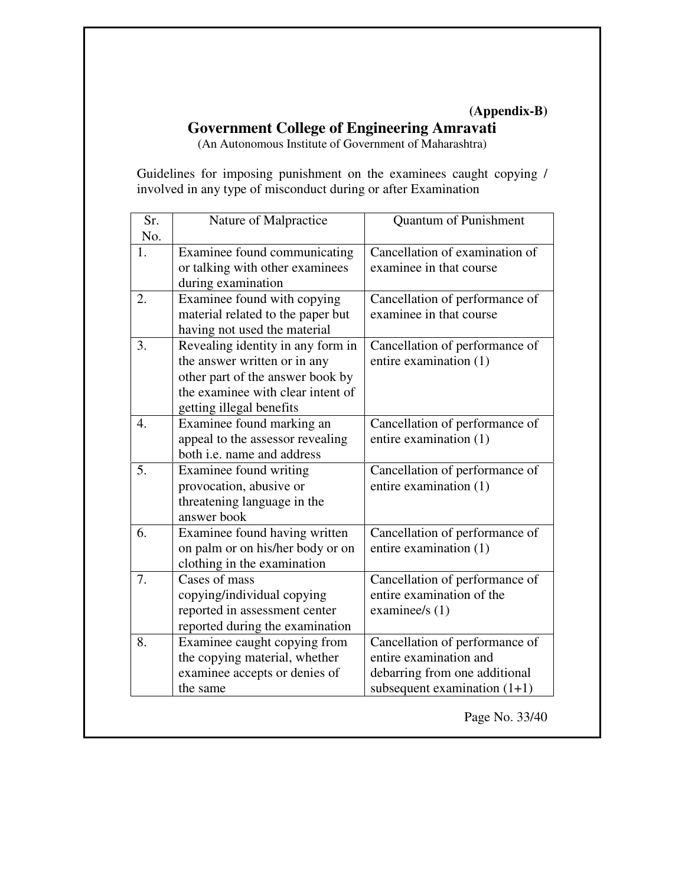### **(Appendix-B)**

### **Government College of Engineering Amravati**

(An Autonomous Institute of Government of Maharashtra)

Guidelines for imposing punishment on the examinees caught copying / involved in any type of misconduct during or after Examination

| Sr.              | Nature of Malpractice             | <b>Quantum of Punishment</b>   |
|------------------|-----------------------------------|--------------------------------|
| No.              |                                   |                                |
| 1.               | Examinee found communicating      | Cancellation of examination of |
|                  | or talking with other examinees   | examinee in that course        |
|                  | during examination                |                                |
| 2.               | Examinee found with copying       | Cancellation of performance of |
|                  | material related to the paper but | examinee in that course        |
|                  | having not used the material      |                                |
| 3.               | Revealing identity in any form in | Cancellation of performance of |
|                  | the answer written or in any      | entire examination (1)         |
|                  | other part of the answer book by  |                                |
|                  | the examinee with clear intent of |                                |
|                  | getting illegal benefits          |                                |
| $\overline{4}$ . | Examinee found marking an         | Cancellation of performance of |
|                  | appeal to the assessor revealing  | entire examination (1)         |
|                  | both i.e. name and address        |                                |
| 5.               | Examinee found writing            | Cancellation of performance of |
|                  | provocation, abusive or           | entire examination (1)         |
|                  | threatening language in the       |                                |
|                  | answer book                       |                                |
| 6.               | Examinee found having written     | Cancellation of performance of |
|                  | on palm or on his/her body or on  | entire examination (1)         |
|                  | clothing in the examination       |                                |
| $\overline{7}$ . | Cases of mass                     | Cancellation of performance of |
|                  | copying/individual copying        | entire examination of the      |
|                  | reported in assessment center     | examinee/s $(1)$               |
|                  | reported during the examination   |                                |
| 8.               | Examinee caught copying from      | Cancellation of performance of |
|                  | the copying material, whether     | entire examination and         |
|                  | examinee accepts or denies of     | debarring from one additional  |
|                  | the same                          | subsequent examination $(1+1)$ |

Page No. 33/40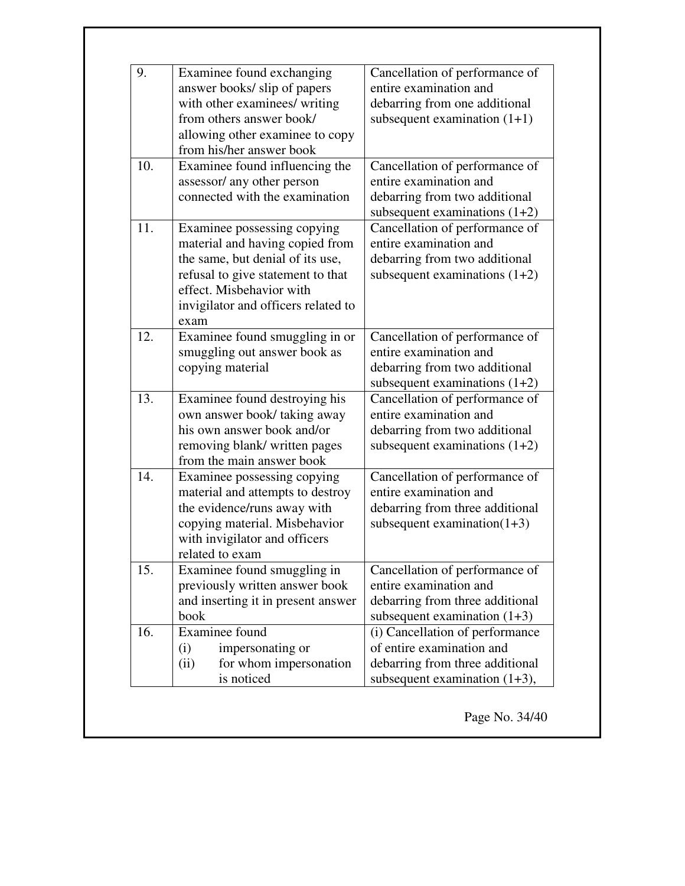| 9.  | Examinee found exchanging           | Cancellation of performance of  |
|-----|-------------------------------------|---------------------------------|
|     | answer books/ slip of papers        | entire examination and          |
|     | with other examinees/ writing       | debarring from one additional   |
|     | from others answer book/            | subsequent examination $(1+1)$  |
|     | allowing other examinee to copy     |                                 |
|     | from his/her answer book            |                                 |
| 10. | Examinee found influencing the      | Cancellation of performance of  |
|     | assessor/ any other person          | entire examination and          |
|     | connected with the examination      | debarring from two additional   |
|     |                                     | subsequent examinations $(1+2)$ |
| 11. | Examinee possessing copying         | Cancellation of performance of  |
|     | material and having copied from     | entire examination and          |
|     | the same, but denial of its use,    | debarring from two additional   |
|     | refusal to give statement to that   | subsequent examinations $(1+2)$ |
|     | effect. Misbehavior with            |                                 |
|     | invigilator and officers related to |                                 |
|     | exam                                |                                 |
| 12. | Examinee found smuggling in or      | Cancellation of performance of  |
|     | smuggling out answer book as        | entire examination and          |
|     | copying material                    | debarring from two additional   |
|     |                                     | subsequent examinations $(1+2)$ |
| 13. | Examinee found destroying his       | Cancellation of performance of  |
|     | own answer book/taking away         | entire examination and          |
|     | his own answer book and/or          | debarring from two additional   |
|     | removing blank/ written pages       | subsequent examinations $(1+2)$ |
|     | from the main answer book           |                                 |
| 14. | Examinee possessing copying         | Cancellation of performance of  |
|     | material and attempts to destroy    | entire examination and          |
|     | the evidence/runs away with         | debarring from three additional |
|     | copying material. Misbehavior       | subsequent examination $(1+3)$  |
|     | with invigilator and officers       |                                 |
|     | related to exam                     |                                 |
| 15. | Examinee found smuggling in         | Cancellation of performance of  |
|     | previously written answer book      | entire examination and          |
|     | and inserting it in present answer  | debarring from three additional |
|     | book                                | subsequent examination $(1+3)$  |
| 16. | Examinee found                      | (i) Cancellation of performance |
|     | (i)<br>impersonating or             | of entire examination and       |
|     | for whom impersonation<br>(ii)      | debarring from three additional |
|     |                                     |                                 |

Page No. 34/40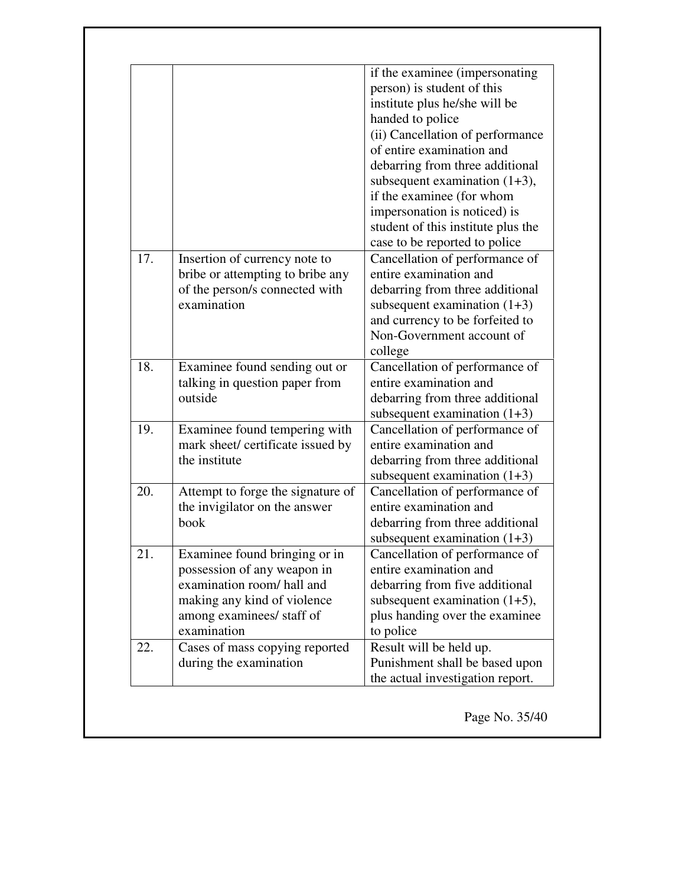|     | Examinee found bringing or in                                                                                      | debarring from three additional<br>subsequent examination $(1+3)$                                                                                                                                                                                                                                                                                                                                                                                                                    |
|-----|--------------------------------------------------------------------------------------------------------------------|--------------------------------------------------------------------------------------------------------------------------------------------------------------------------------------------------------------------------------------------------------------------------------------------------------------------------------------------------------------------------------------------------------------------------------------------------------------------------------------|
| 20. | Attempt to forge the signature of<br>the invigilator on the answer<br>book                                         | Cancellation of performance of<br>entire examination and                                                                                                                                                                                                                                                                                                                                                                                                                             |
| 19. | Examinee found tempering with<br>mark sheet/ certificate issued by<br>the institute                                | Cancellation of performance of<br>entire examination and<br>debarring from three additional<br>subsequent examination $(1+3)$                                                                                                                                                                                                                                                                                                                                                        |
| 18. | Examinee found sending out or<br>talking in question paper from<br>outside                                         | Cancellation of performance of<br>entire examination and<br>debarring from three additional<br>subsequent examination $(1+3)$                                                                                                                                                                                                                                                                                                                                                        |
| 17. | Insertion of currency note to<br>bribe or attempting to bribe any<br>of the person/s connected with<br>examination | (ii) Cancellation of performance<br>of entire examination and<br>debarring from three additional<br>subsequent examination $(1+3)$ ,<br>if the examinee (for whom<br>impersonation is noticed) is<br>student of this institute plus the<br>case to be reported to police<br>Cancellation of performance of<br>entire examination and<br>debarring from three additional<br>subsequent examination $(1+3)$<br>and currency to be forfeited to<br>Non-Government account of<br>college |

Page No. 35/40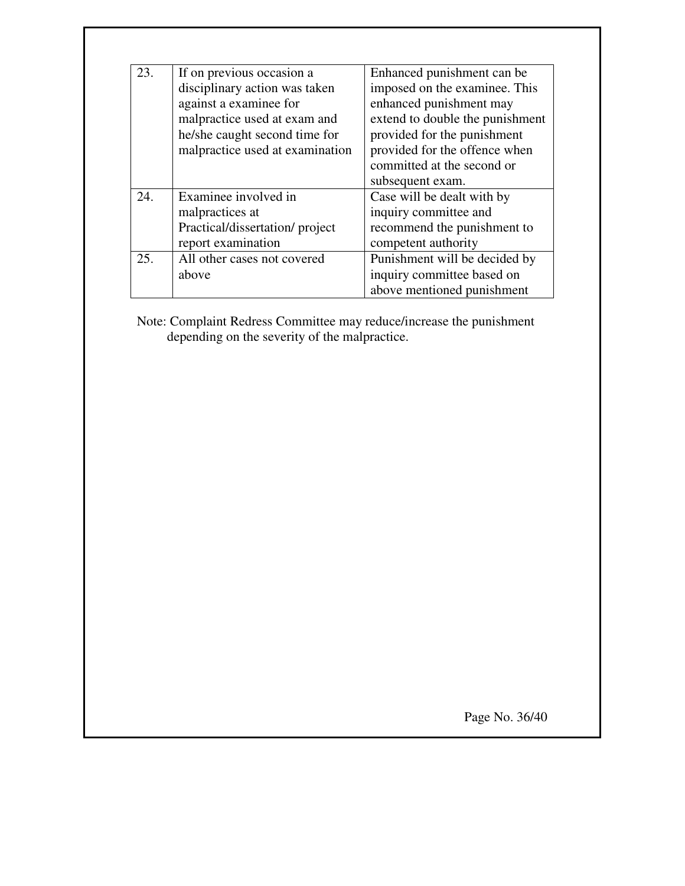| 23. | If on previous occasion a       | Enhanced punishment can be      |
|-----|---------------------------------|---------------------------------|
|     | disciplinary action was taken   | imposed on the examinee. This   |
|     | against a examinee for          | enhanced punishment may         |
|     | malpractice used at exam and    | extend to double the punishment |
|     | he/she caught second time for   | provided for the punishment     |
|     | malpractice used at examination | provided for the offence when   |
|     |                                 | committed at the second or      |
|     |                                 | subsequent exam.                |
| 24. | Examinee involved in            | Case will be dealt with by      |
|     | malpractices at                 | inquiry committee and           |
|     | Practical/dissertation/project  | recommend the punishment to     |
|     | report examination              | competent authority             |
| 25. | All other cases not covered     | Punishment will be decided by   |
|     | above                           | inquiry committee based on      |
|     |                                 | above mentioned punishment      |

Note: Complaint Redress Committee may reduce/increase the punishment depending on the severity of the malpractice.

Page No. 36/40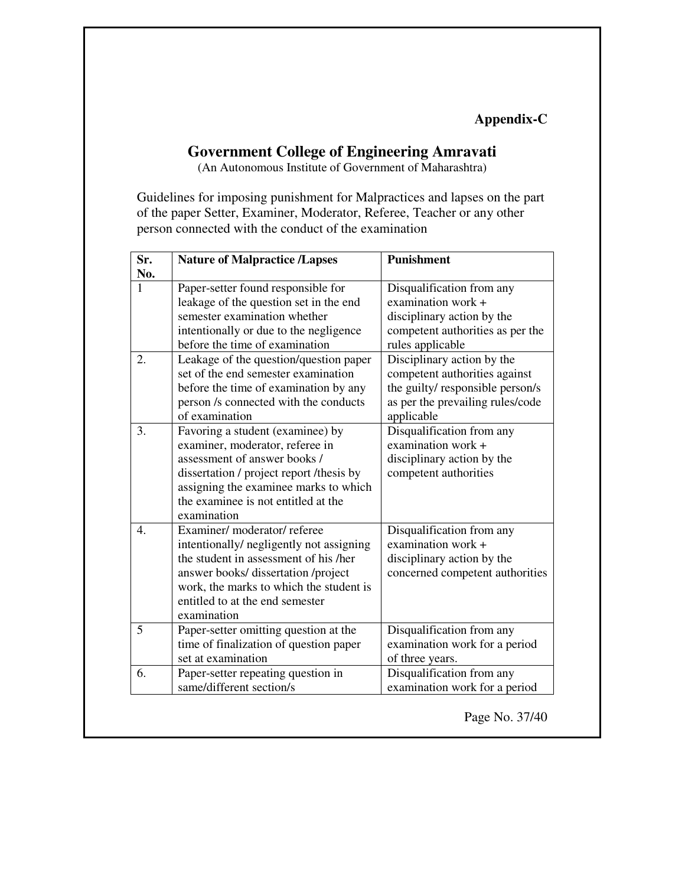**Appendix-C** 

### **Government College of Engineering Amravati**

(An Autonomous Institute of Government of Maharashtra)

Guidelines for imposing punishment for Malpractices and lapses on the part of the paper Setter, Examiner, Moderator, Referee, Teacher or any other person connected with the conduct of the examination

| Sr.<br>No.       | <b>Nature of Malpractice /Lapses</b>                                                                                                                                                                                                                | <b>Punishment</b>                                                                                                                                 |
|------------------|-----------------------------------------------------------------------------------------------------------------------------------------------------------------------------------------------------------------------------------------------------|---------------------------------------------------------------------------------------------------------------------------------------------------|
| $\mathbf{1}$     | Paper-setter found responsible for<br>leakage of the question set in the end<br>semester examination whether<br>intentionally or due to the negligence<br>before the time of examination                                                            | Disqualification from any<br>examination work +<br>disciplinary action by the<br>competent authorities as per the<br>rules applicable             |
| 2.               | Leakage of the question/question paper<br>set of the end semester examination<br>before the time of examination by any<br>person /s connected with the conducts<br>of examination                                                                   | Disciplinary action by the<br>competent authorities against<br>the guilty/ responsible person/s<br>as per the prevailing rules/code<br>applicable |
| 3.               | Favoring a student (examinee) by<br>examiner, moderator, referee in<br>assessment of answer books /<br>dissertation / project report / thesis by<br>assigning the examinee marks to which<br>the examinee is not entitled at the<br>examination     | Disqualification from any<br>examination work +<br>disciplinary action by the<br>competent authorities                                            |
| $\overline{4}$ . | Examiner/moderator/referee<br>intentionally/ negligently not assigning<br>the student in assessment of his /her<br>answer books/ dissertation /project<br>work, the marks to which the student is<br>entitled to at the end semester<br>examination | Disqualification from any<br>examination work +<br>disciplinary action by the<br>concerned competent authorities                                  |
| 5                | Paper-setter omitting question at the<br>time of finalization of question paper<br>set at examination                                                                                                                                               | Disqualification from any<br>examination work for a period<br>of three years.                                                                     |
| 6.               | Paper-setter repeating question in<br>same/different section/s                                                                                                                                                                                      | Disqualification from any<br>examination work for a period                                                                                        |

Page No. 37/40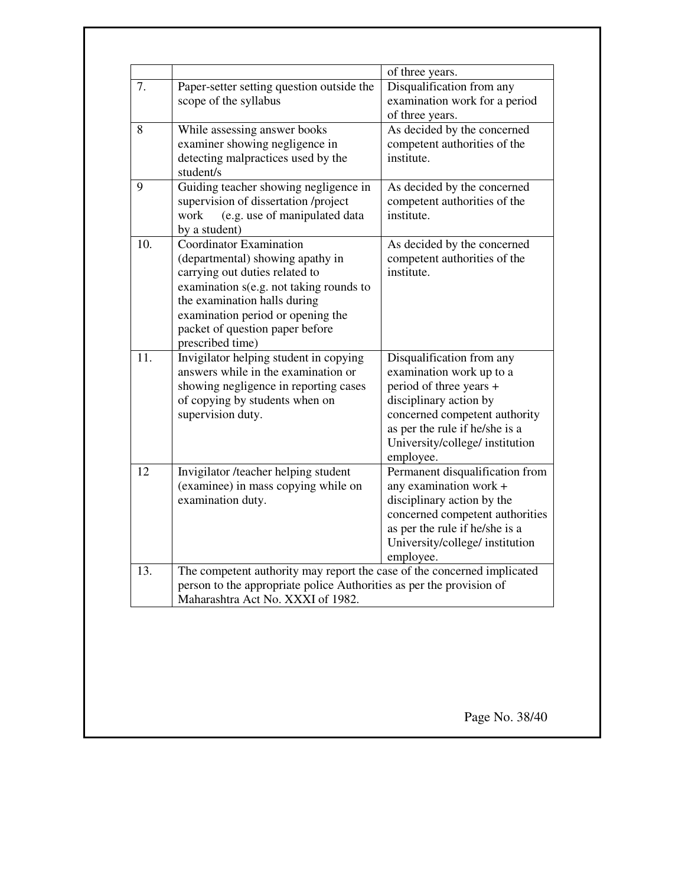| 7.  | Paper-setter setting question outside the<br>scope of the syllabus                                                                                                                                                                                                          | of three years.<br>Disqualification from any<br>examination work for a period<br>of three years.                                                                                                                              |
|-----|-----------------------------------------------------------------------------------------------------------------------------------------------------------------------------------------------------------------------------------------------------------------------------|-------------------------------------------------------------------------------------------------------------------------------------------------------------------------------------------------------------------------------|
| 8   | While assessing answer books<br>examiner showing negligence in<br>detecting malpractices used by the<br>student/s                                                                                                                                                           | As decided by the concerned<br>competent authorities of the<br>institute.                                                                                                                                                     |
| 9   | Guiding teacher showing negligence in<br>supervision of dissertation /project<br>work<br>(e.g. use of manipulated data<br>by a student)                                                                                                                                     | As decided by the concerned<br>competent authorities of the<br>institute.                                                                                                                                                     |
| 10. | <b>Coordinator Examination</b><br>(departmental) showing apathy in<br>carrying out duties related to<br>examination s(e.g. not taking rounds to<br>the examination halls during<br>examination period or opening the<br>packet of question paper before<br>prescribed time) | As decided by the concerned<br>competent authorities of the<br>institute.                                                                                                                                                     |
| 11. | Invigilator helping student in copying<br>answers while in the examination or<br>showing negligence in reporting cases<br>of copying by students when on<br>supervision duty.                                                                                               | Disqualification from any<br>examination work up to a<br>period of three years +<br>disciplinary action by<br>concerned competent authority<br>as per the rule if he/she is a<br>University/college/ institution<br>employee. |
| 12  | Invigilator /teacher helping student<br>(examinee) in mass copying while on<br>examination duty.                                                                                                                                                                            | Permanent disqualification from<br>any examination work +<br>disciplinary action by the<br>concerned competent authorities<br>as per the rule if he/she is a<br>University/college/ institution<br>employee.                  |
| 13. | The competent authority may report the case of the concerned implicated<br>person to the appropriate police Authorities as per the provision of<br>Maharashtra Act No. XXXI of 1982.                                                                                        |                                                                                                                                                                                                                               |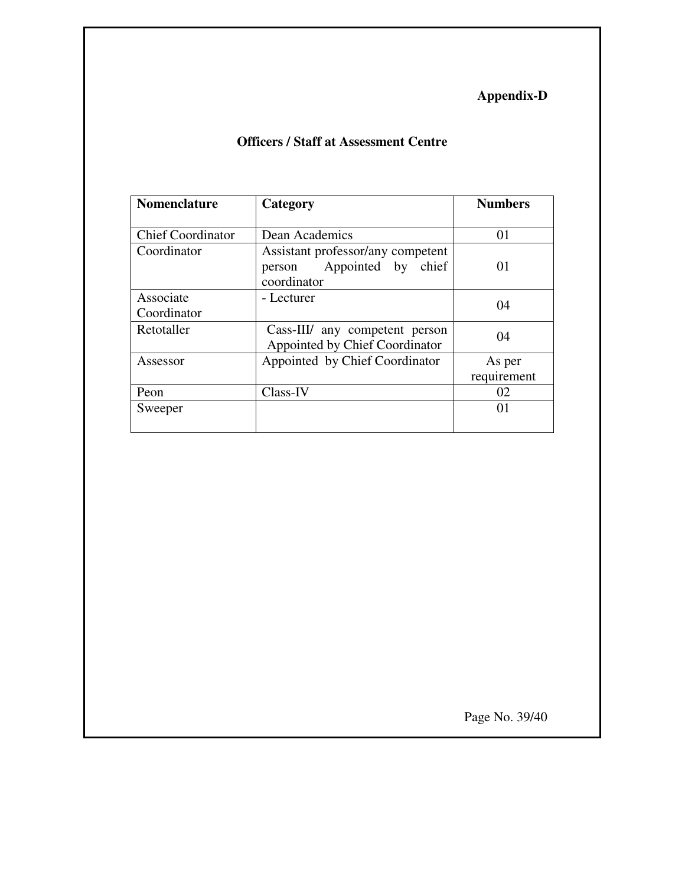## **Appendix-D**

### **Officers / Staff at Assessment Centre**

| <b>Nomenclature</b>      | Category                          | <b>Numbers</b> |
|--------------------------|-----------------------------------|----------------|
|                          |                                   |                |
| <b>Chief Coordinator</b> | Dean Academics                    | 01             |
| Coordinator              | Assistant professor/any competent |                |
|                          | Appointed by chief<br>person      | 01             |
|                          | coordinator                       |                |
| Associate                | - Lecturer                        |                |
| Coordinator              |                                   | 04             |
| Retotaller               | Cass-III/ any competent person    | 04             |
|                          | Appointed by Chief Coordinator    |                |
| Assessor                 | Appointed by Chief Coordinator    | As per         |
|                          |                                   | requirement    |
| Peon                     | Class-IV                          | 02             |
| Sweeper                  |                                   | 01             |
|                          |                                   |                |

Page No. 39/40